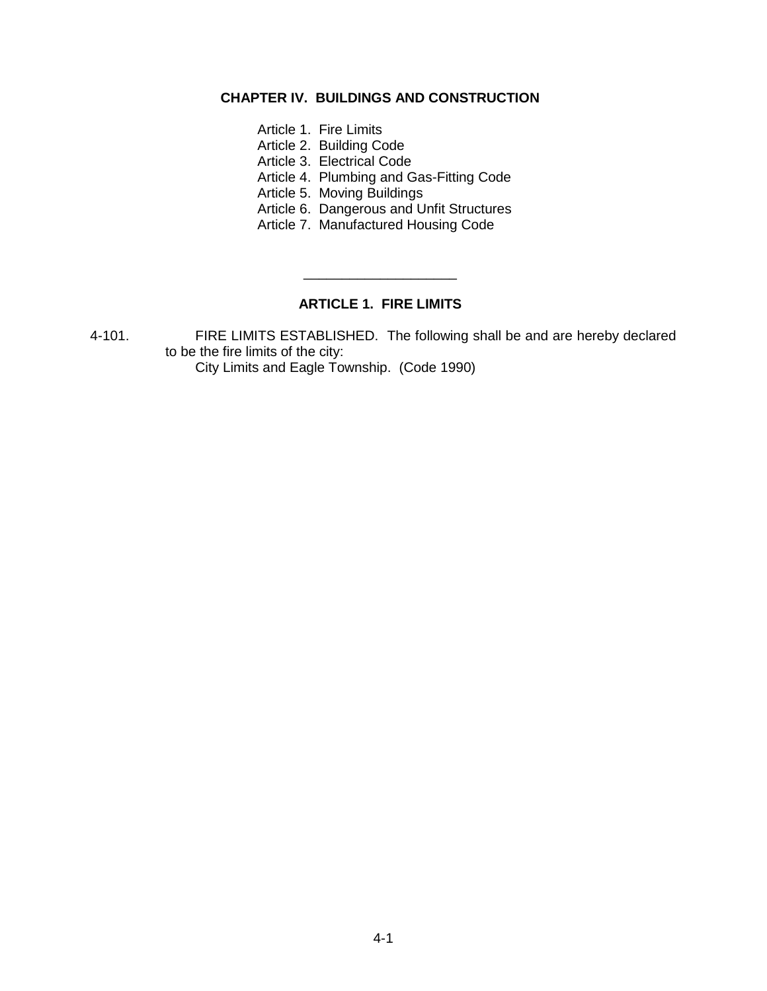## **CHAPTER IV. BUILDINGS AND CONSTRUCTION**

- Article 1. Fire Limits
- Article 2. Building Code
- Article 3. Electrical Code
- Article 4. Plumbing and Gas-Fitting Code
- Article 5. Moving Buildings
- Article 6. Dangerous and Unfit Structures
- Article 7. Manufactured Housing Code

# **ARTICLE 1. FIRE LIMITS**

\_\_\_\_\_\_\_\_\_\_\_\_\_\_\_\_\_\_\_\_

4-101. FIRE LIMITS ESTABLISHED. The following shall be and are hereby declared to be the fire limits of the city:

City Limits and Eagle Township. (Code 1990)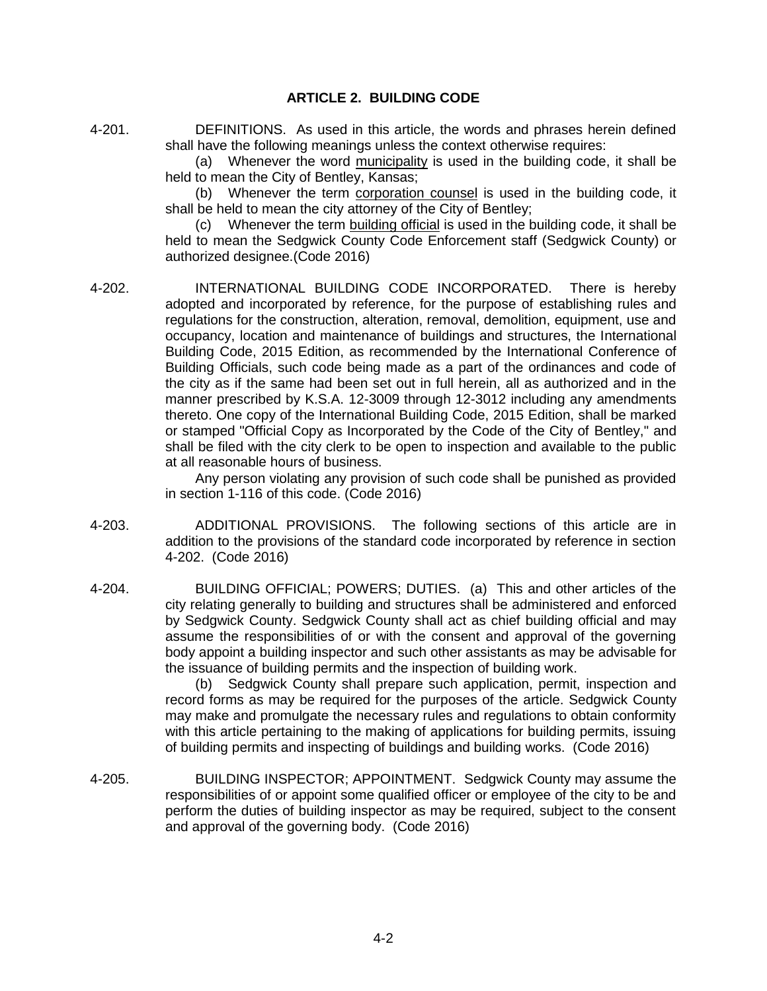#### **ARTICLE 2. BUILDING CODE**

4-201. DEFINITIONS. As used in this article, the words and phrases herein defined shall have the following meanings unless the context otherwise requires:

> (a) Whenever the word municipality is used in the building code, it shall be held to mean the City of Bentley, Kansas;

> (b) Whenever the term corporation counsel is used in the building code, it shall be held to mean the city attorney of the City of Bentley;

> (c) Whenever the term building official is used in the building code, it shall be held to mean the Sedgwick County Code Enforcement staff (Sedgwick County) or authorized designee.(Code 2016)

4-202. INTERNATIONAL BUILDING CODE INCORPORATED. There is hereby adopted and incorporated by reference, for the purpose of establishing rules and regulations for the construction, alteration, removal, demolition, equipment, use and occupancy, location and maintenance of buildings and structures, the International Building Code, 2015 Edition, as recommended by the International Conference of Building Officials, such code being made as a part of the ordinances and code of the city as if the same had been set out in full herein, all as authorized and in the manner prescribed by K.S.A. 12-3009 through 12-3012 including any amendments thereto. One copy of the International Building Code, 2015 Edition, shall be marked or stamped "Official Copy as Incorporated by the Code of the City of Bentley," and shall be filed with the city clerk to be open to inspection and available to the public at all reasonable hours of business.

Any person violating any provision of such code shall be punished as provided in section 1-116 of this code. (Code 2016)

- 4-203. ADDITIONAL PROVISIONS. The following sections of this article are in addition to the provisions of the standard code incorporated by reference in section 4-202. (Code 2016)
- 4-204. BUILDING OFFICIAL; POWERS; DUTIES. (a) This and other articles of the city relating generally to building and structures shall be administered and enforced by Sedgwick County. Sedgwick County shall act as chief building official and may assume the responsibilities of or with the consent and approval of the governing body appoint a building inspector and such other assistants as may be advisable for the issuance of building permits and the inspection of building work.

(b) Sedgwick County shall prepare such application, permit, inspection and record forms as may be required for the purposes of the article. Sedgwick County may make and promulgate the necessary rules and regulations to obtain conformity with this article pertaining to the making of applications for building permits, issuing of building permits and inspecting of buildings and building works. (Code 2016)

4-205. BUILDING INSPECTOR; APPOINTMENT. Sedgwick County may assume the responsibilities of or appoint some qualified officer or employee of the city to be and perform the duties of building inspector as may be required, subject to the consent and approval of the governing body. (Code 2016)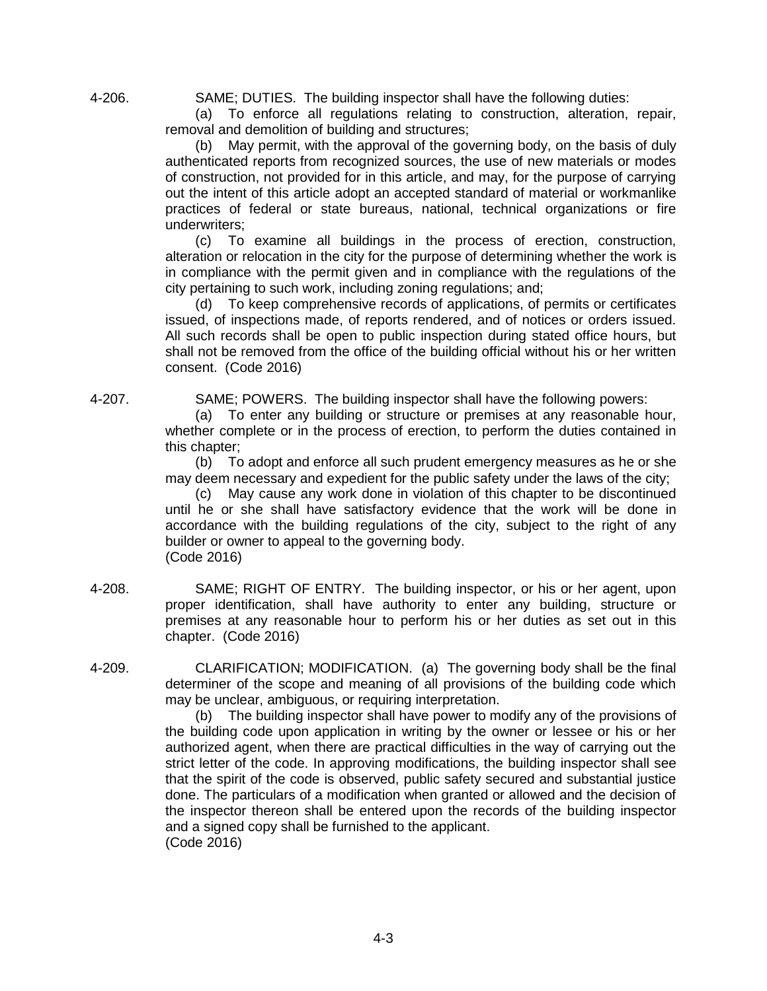4-206. SAME; DUTIES. The building inspector shall have the following duties:

(a) To enforce all regulations relating to construction, alteration, repair, removal and demolition of building and structures;

(b) May permit, with the approval of the governing body, on the basis of duly authenticated reports from recognized sources, the use of new materials or modes of construction, not provided for in this article, and may, for the purpose of carrying out the intent of this article adopt an accepted standard of material or workmanlike practices of federal or state bureaus, national, technical organizations or fire underwriters;

(c) To examine all buildings in the process of erection, construction, alteration or relocation in the city for the purpose of determining whether the work is in compliance with the permit given and in compliance with the regulations of the city pertaining to such work, including zoning regulations; and;

(d) To keep comprehensive records of applications, of permits or certificates issued, of inspections made, of reports rendered, and of notices or orders issued. All such records shall be open to public inspection during stated office hours, but shall not be removed from the office of the building official without his or her written consent. (Code 2016)

4-207. SAME; POWERS. The building inspector shall have the following powers:

(a) To enter any building or structure or premises at any reasonable hour, whether complete or in the process of erection, to perform the duties contained in this chapter;

(b) To adopt and enforce all such prudent emergency measures as he or she may deem necessary and expedient for the public safety under the laws of the city;

(c) May cause any work done in violation of this chapter to be discontinued until he or she shall have satisfactory evidence that the work will be done in accordance with the building regulations of the city, subject to the right of any builder or owner to appeal to the governing body. (Code 2016)

- 4-208. SAME; RIGHT OF ENTRY. The building inspector, or his or her agent, upon proper identification, shall have authority to enter any building, structure or premises at any reasonable hour to perform his or her duties as set out in this chapter. (Code 2016)
- 4-209. CLARIFICATION; MODIFICATION. (a) The governing body shall be the final determiner of the scope and meaning of all provisions of the building code which may be unclear, ambiguous, or requiring interpretation.

(b) The building inspector shall have power to modify any of the provisions of the building code upon application in writing by the owner or lessee or his or her authorized agent, when there are practical difficulties in the way of carrying out the strict letter of the code. In approving modifications, the building inspector shall see that the spirit of the code is observed, public safety secured and substantial justice done. The particulars of a modification when granted or allowed and the decision of the inspector thereon shall be entered upon the records of the building inspector and a signed copy shall be furnished to the applicant. (Code 2016)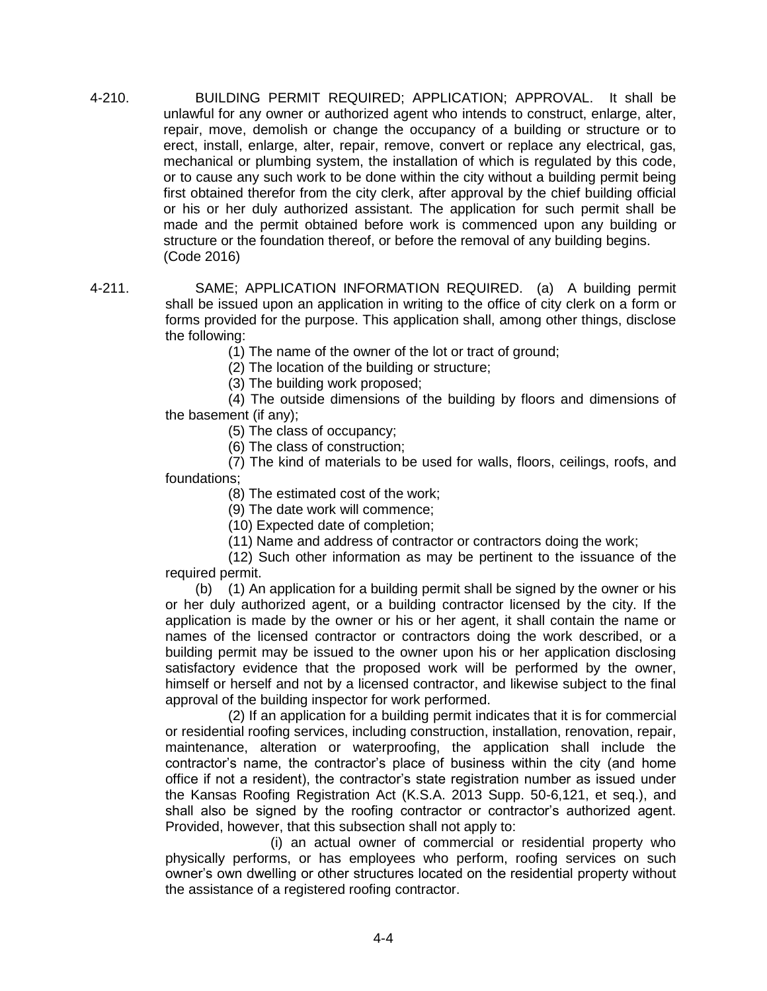- 4-210. BUILDING PERMIT REQUIRED; APPLICATION; APPROVAL. It shall be unlawful for any owner or authorized agent who intends to construct, enlarge, alter, repair, move, demolish or change the occupancy of a building or structure or to erect, install, enlarge, alter, repair, remove, convert or replace any electrical, gas, mechanical or plumbing system, the installation of which is regulated by this code, or to cause any such work to be done within the city without a building permit being first obtained therefor from the city clerk, after approval by the chief building official or his or her duly authorized assistant. The application for such permit shall be made and the permit obtained before work is commenced upon any building or structure or the foundation thereof, or before the removal of any building begins. (Code 2016)
- 4-211. SAME; APPLICATION INFORMATION REQUIRED. (a) A building permit shall be issued upon an application in writing to the office of city clerk on a form or forms provided for the purpose. This application shall, among other things, disclose the following:

(1) The name of the owner of the lot or tract of ground;

(2) The location of the building or structure;

(3) The building work proposed;

(4) The outside dimensions of the building by floors and dimensions of the basement (if any);

(5) The class of occupancy;

(6) The class of construction;

(7) The kind of materials to be used for walls, floors, ceilings, roofs, and foundations;

(8) The estimated cost of the work;

(9) The date work will commence;

(10) Expected date of completion;

(11) Name and address of contractor or contractors doing the work;

(12) Such other information as may be pertinent to the issuance of the required permit.

(b) (1) An application for a building permit shall be signed by the owner or his or her duly authorized agent, or a building contractor licensed by the city. If the application is made by the owner or his or her agent, it shall contain the name or names of the licensed contractor or contractors doing the work described, or a building permit may be issued to the owner upon his or her application disclosing satisfactory evidence that the proposed work will be performed by the owner, himself or herself and not by a licensed contractor, and likewise subject to the final approval of the building inspector for work performed.

(2) If an application for a building permit indicates that it is for commercial or residential roofing services, including construction, installation, renovation, repair, maintenance, alteration or waterproofing, the application shall include the contractor's name, the contractor's place of business within the city (and home office if not a resident), the contractor's state registration number as issued under the Kansas Roofing Registration Act (K.S.A. 2013 Supp. 50-6,121, et seq.), and shall also be signed by the roofing contractor or contractor's authorized agent. Provided, however, that this subsection shall not apply to:

(i) an actual owner of commercial or residential property who physically performs, or has employees who perform, roofing services on such owner's own dwelling or other structures located on the residential property without the assistance of a registered roofing contractor.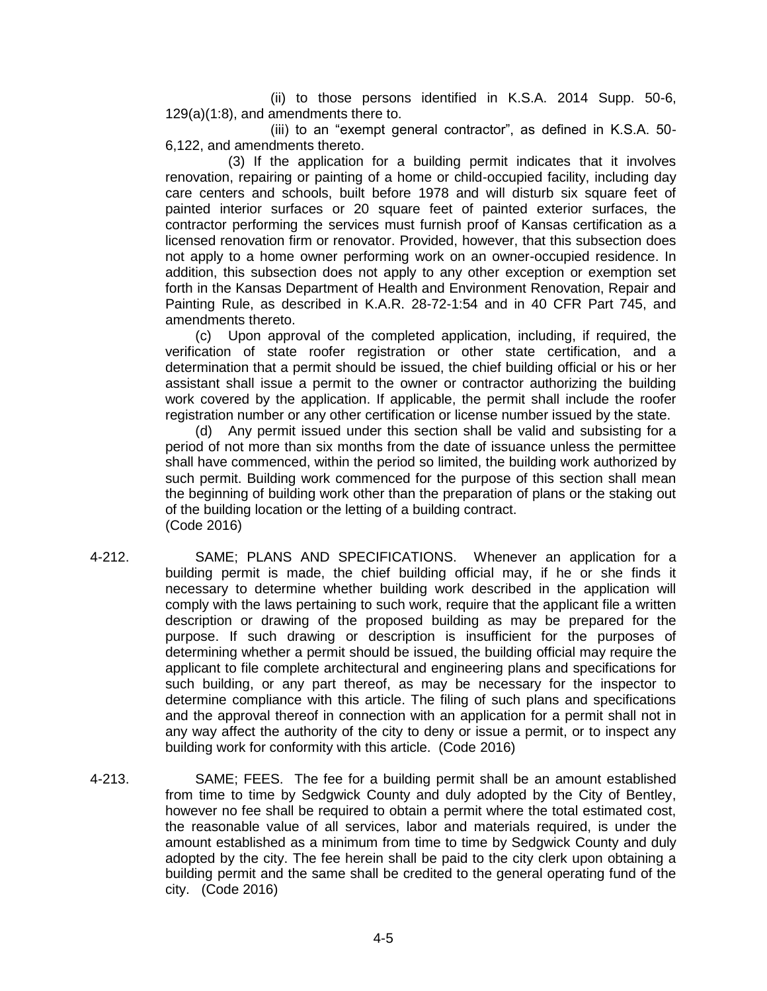(ii) to those persons identified in K.S.A. 2014 Supp. 50-6, 129(a)(1:8), and amendments there to.

(iii) to an "exempt general contractor", as defined in K.S.A. 50- 6,122, and amendments thereto.

(3) If the application for a building permit indicates that it involves renovation, repairing or painting of a home or child-occupied facility, including day care centers and schools, built before 1978 and will disturb six square feet of painted interior surfaces or 20 square feet of painted exterior surfaces, the contractor performing the services must furnish proof of Kansas certification as a licensed renovation firm or renovator. Provided, however, that this subsection does not apply to a home owner performing work on an owner-occupied residence. In addition, this subsection does not apply to any other exception or exemption set forth in the Kansas Department of Health and Environment Renovation, Repair and Painting Rule, as described in K.A.R. 28-72-1:54 and in 40 CFR Part 745, and amendments thereto.

(c) Upon approval of the completed application, including, if required, the verification of state roofer registration or other state certification, and a determination that a permit should be issued, the chief building official or his or her assistant shall issue a permit to the owner or contractor authorizing the building work covered by the application. If applicable, the permit shall include the roofer registration number or any other certification or license number issued by the state.

(d) Any permit issued under this section shall be valid and subsisting for a period of not more than six months from the date of issuance unless the permittee shall have commenced, within the period so limited, the building work authorized by such permit. Building work commenced for the purpose of this section shall mean the beginning of building work other than the preparation of plans or the staking out of the building location or the letting of a building contract. (Code 2016)

- 4-212. SAME; PLANS AND SPECIFICATIONS. Whenever an application for a building permit is made, the chief building official may, if he or she finds it necessary to determine whether building work described in the application will comply with the laws pertaining to such work, require that the applicant file a written description or drawing of the proposed building as may be prepared for the purpose. If such drawing or description is insufficient for the purposes of determining whether a permit should be issued, the building official may require the applicant to file complete architectural and engineering plans and specifications for such building, or any part thereof, as may be necessary for the inspector to determine compliance with this article. The filing of such plans and specifications and the approval thereof in connection with an application for a permit shall not in any way affect the authority of the city to deny or issue a permit, or to inspect any building work for conformity with this article. (Code 2016)
- 4-213. SAME; FEES. The fee for a building permit shall be an amount established from time to time by Sedgwick County and duly adopted by the City of Bentley, however no fee shall be required to obtain a permit where the total estimated cost, the reasonable value of all services, labor and materials required, is under the amount established as a minimum from time to time by Sedgwick County and duly adopted by the city. The fee herein shall be paid to the city clerk upon obtaining a building permit and the same shall be credited to the general operating fund of the city. (Code 2016)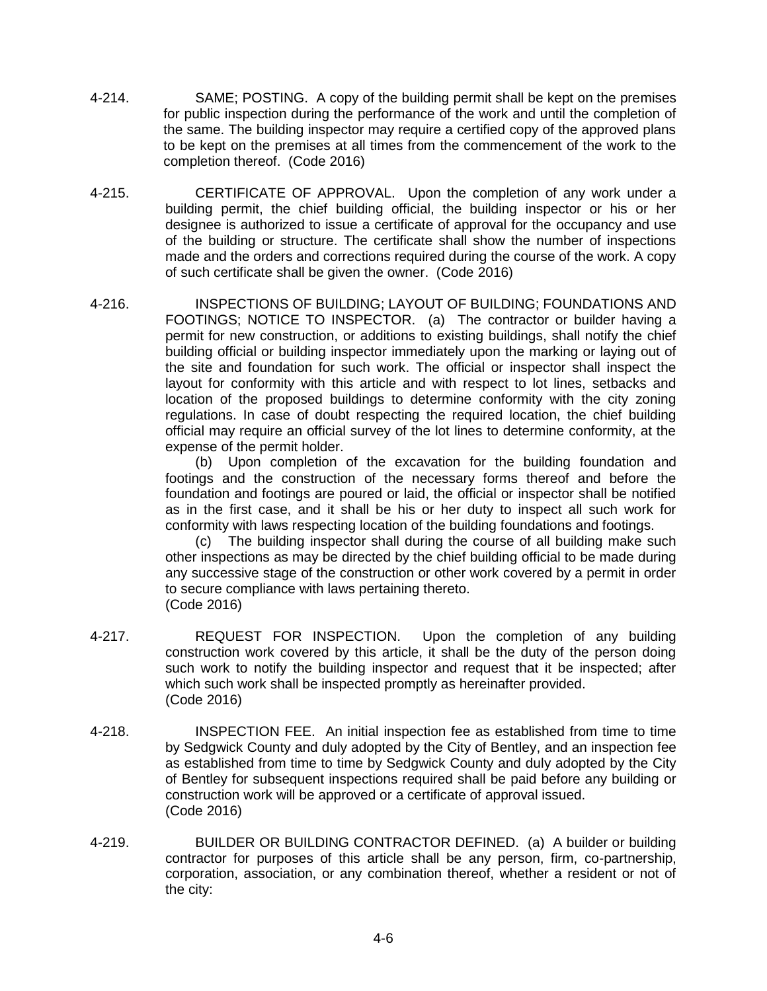- 4-214. SAME; POSTING. A copy of the building permit shall be kept on the premises for public inspection during the performance of the work and until the completion of the same. The building inspector may require a certified copy of the approved plans to be kept on the premises at all times from the commencement of the work to the completion thereof. (Code 2016)
- 4-215. CERTIFICATE OF APPROVAL. Upon the completion of any work under a building permit, the chief building official, the building inspector or his or her designee is authorized to issue a certificate of approval for the occupancy and use of the building or structure. The certificate shall show the number of inspections made and the orders and corrections required during the course of the work. A copy of such certificate shall be given the owner. (Code 2016)
- 4-216. INSPECTIONS OF BUILDING; LAYOUT OF BUILDING; FOUNDATIONS AND FOOTINGS; NOTICE TO INSPECTOR. (a) The contractor or builder having a permit for new construction, or additions to existing buildings, shall notify the chief building official or building inspector immediately upon the marking or laying out of the site and foundation for such work. The official or inspector shall inspect the layout for conformity with this article and with respect to lot lines, setbacks and location of the proposed buildings to determine conformity with the city zoning regulations. In case of doubt respecting the required location, the chief building official may require an official survey of the lot lines to determine conformity, at the expense of the permit holder.

(b) Upon completion of the excavation for the building foundation and footings and the construction of the necessary forms thereof and before the foundation and footings are poured or laid, the official or inspector shall be notified as in the first case, and it shall be his or her duty to inspect all such work for conformity with laws respecting location of the building foundations and footings.

(c) The building inspector shall during the course of all building make such other inspections as may be directed by the chief building official to be made during any successive stage of the construction or other work covered by a permit in order to secure compliance with laws pertaining thereto. (Code 2016)

- 4-217. REQUEST FOR INSPECTION. Upon the completion of any building construction work covered by this article, it shall be the duty of the person doing such work to notify the building inspector and request that it be inspected; after which such work shall be inspected promptly as hereinafter provided. (Code 2016)
- 4-218. INSPECTION FEE. An initial inspection fee as established from time to time by Sedgwick County and duly adopted by the City of Bentley, and an inspection fee as established from time to time by Sedgwick County and duly adopted by the City of Bentley for subsequent inspections required shall be paid before any building or construction work will be approved or a certificate of approval issued. (Code 2016)
- 4-219. BUILDER OR BUILDING CONTRACTOR DEFINED. (a) A builder or building contractor for purposes of this article shall be any person, firm, co-partnership, corporation, association, or any combination thereof, whether a resident or not of the city: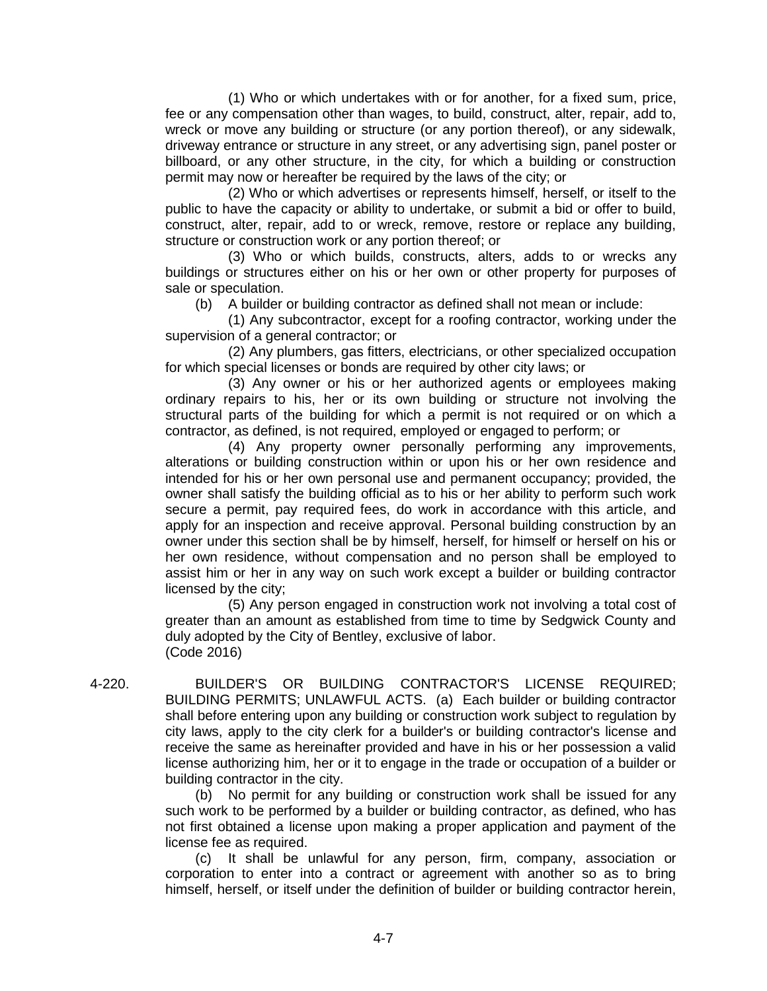(1) Who or which undertakes with or for another, for a fixed sum, price, fee or any compensation other than wages, to build, construct, alter, repair, add to, wreck or move any building or structure (or any portion thereof), or any sidewalk, driveway entrance or structure in any street, or any advertising sign, panel poster or billboard, or any other structure, in the city, for which a building or construction permit may now or hereafter be required by the laws of the city; or

(2) Who or which advertises or represents himself, herself, or itself to the public to have the capacity or ability to undertake, or submit a bid or offer to build, construct, alter, repair, add to or wreck, remove, restore or replace any building, structure or construction work or any portion thereof; or

(3) Who or which builds, constructs, alters, adds to or wrecks any buildings or structures either on his or her own or other property for purposes of sale or speculation.

(b) A builder or building contractor as defined shall not mean or include:

(1) Any subcontractor, except for a roofing contractor, working under the supervision of a general contractor; or

(2) Any plumbers, gas fitters, electricians, or other specialized occupation for which special licenses or bonds are required by other city laws; or

(3) Any owner or his or her authorized agents or employees making ordinary repairs to his, her or its own building or structure not involving the structural parts of the building for which a permit is not required or on which a contractor, as defined, is not required, employed or engaged to perform; or

(4) Any property owner personally performing any improvements, alterations or building construction within or upon his or her own residence and intended for his or her own personal use and permanent occupancy; provided, the owner shall satisfy the building official as to his or her ability to perform such work secure a permit, pay required fees, do work in accordance with this article, and apply for an inspection and receive approval. Personal building construction by an owner under this section shall be by himself, herself, for himself or herself on his or her own residence, without compensation and no person shall be employed to assist him or her in any way on such work except a builder or building contractor licensed by the city;

(5) Any person engaged in construction work not involving a total cost of greater than an amount as established from time to time by Sedgwick County and duly adopted by the City of Bentley, exclusive of labor. (Code 2016)

4-220. BUILDER'S OR BUILDING CONTRACTOR'S LICENSE REQUIRED; BUILDING PERMITS; UNLAWFUL ACTS. (a) Each builder or building contractor shall before entering upon any building or construction work subject to regulation by city laws, apply to the city clerk for a builder's or building contractor's license and receive the same as hereinafter provided and have in his or her possession a valid license authorizing him, her or it to engage in the trade or occupation of a builder or building contractor in the city.

> (b) No permit for any building or construction work shall be issued for any such work to be performed by a builder or building contractor, as defined, who has not first obtained a license upon making a proper application and payment of the license fee as required.

> (c) It shall be unlawful for any person, firm, company, association or corporation to enter into a contract or agreement with another so as to bring himself, herself, or itself under the definition of builder or building contractor herein,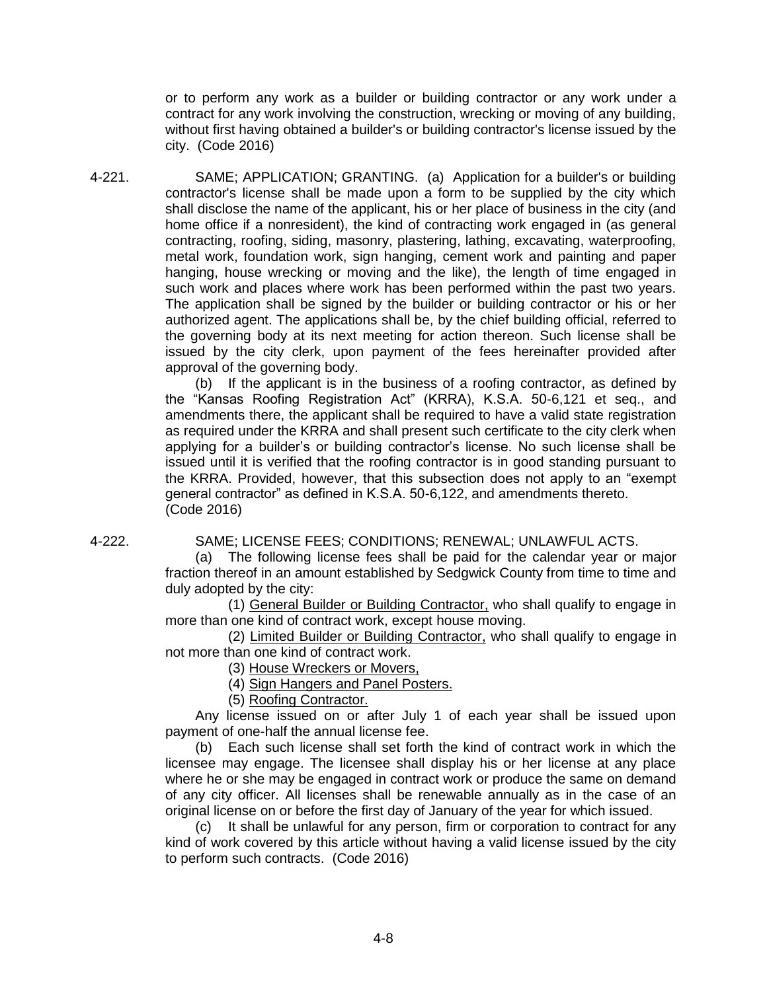or to perform any work as a builder or building contractor or any work under a contract for any work involving the construction, wrecking or moving of any building, without first having obtained a builder's or building contractor's license issued by the city. (Code 2016)

4-221. SAME; APPLICATION; GRANTING. (a) Application for a builder's or building contractor's license shall be made upon a form to be supplied by the city which shall disclose the name of the applicant, his or her place of business in the city (and home office if a nonresident), the kind of contracting work engaged in (as general contracting, roofing, siding, masonry, plastering, lathing, excavating, waterproofing, metal work, foundation work, sign hanging, cement work and painting and paper hanging, house wrecking or moving and the like), the length of time engaged in such work and places where work has been performed within the past two years. The application shall be signed by the builder or building contractor or his or her authorized agent. The applications shall be, by the chief building official, referred to the governing body at its next meeting for action thereon. Such license shall be issued by the city clerk, upon payment of the fees hereinafter provided after approval of the governing body.

> (b) If the applicant is in the business of a roofing contractor, as defined by the "Kansas Roofing Registration Act" (KRRA), K.S.A. 50-6,121 et seq., and amendments there, the applicant shall be required to have a valid state registration as required under the KRRA and shall present such certificate to the city clerk when applying for a builder's or building contractor's license. No such license shall be issued until it is verified that the roofing contractor is in good standing pursuant to the KRRA. Provided, however, that this subsection does not apply to an "exempt general contractor" as defined in K.S.A. 50-6,122, and amendments thereto. (Code 2016)

4-222. SAME; LICENSE FEES; CONDITIONS; RENEWAL; UNLAWFUL ACTS.

(a) The following license fees shall be paid for the calendar year or major fraction thereof in an amount established by Sedgwick County from time to time and duly adopted by the city:

(1) General Builder or Building Contractor, who shall qualify to engage in more than one kind of contract work, except house moving.

(2) Limited Builder or Building Contractor, who shall qualify to engage in not more than one kind of contract work.

(3) House Wreckers or Movers,

(4) Sign Hangers and Panel Posters.

(5) Roofing Contractor.

Any license issued on or after July 1 of each year shall be issued upon payment of one-half the annual license fee.

(b) Each such license shall set forth the kind of contract work in which the licensee may engage. The licensee shall display his or her license at any place where he or she may be engaged in contract work or produce the same on demand of any city officer. All licenses shall be renewable annually as in the case of an original license on or before the first day of January of the year for which issued.

(c) It shall be unlawful for any person, firm or corporation to contract for any kind of work covered by this article without having a valid license issued by the city to perform such contracts. (Code 2016)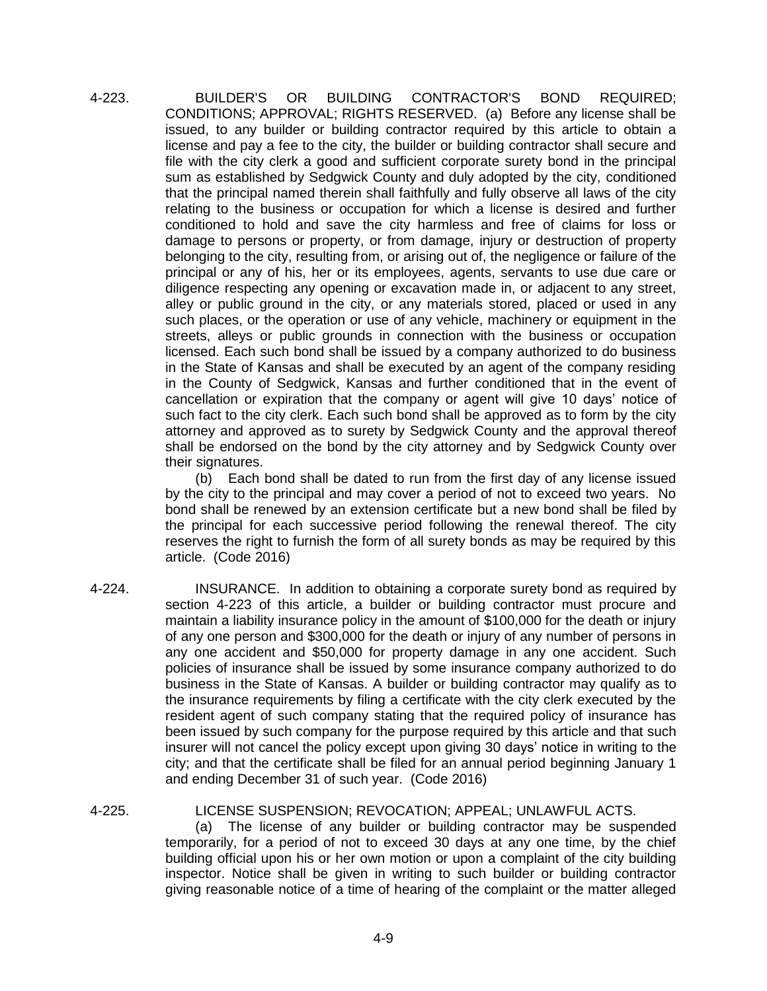4-223. BUILDER'S OR BUILDING CONTRACTOR'S BOND REQUIRED; CONDITIONS; APPROVAL; RIGHTS RESERVED. (a) Before any license shall be issued, to any builder or building contractor required by this article to obtain a license and pay a fee to the city, the builder or building contractor shall secure and file with the city clerk a good and sufficient corporate surety bond in the principal sum as established by Sedgwick County and duly adopted by the city, conditioned that the principal named therein shall faithfully and fully observe all laws of the city relating to the business or occupation for which a license is desired and further conditioned to hold and save the city harmless and free of claims for loss or damage to persons or property, or from damage, injury or destruction of property belonging to the city, resulting from, or arising out of, the negligence or failure of the principal or any of his, her or its employees, agents, servants to use due care or diligence respecting any opening or excavation made in, or adjacent to any street, alley or public ground in the city, or any materials stored, placed or used in any such places, or the operation or use of any vehicle, machinery or equipment in the streets, alleys or public grounds in connection with the business or occupation licensed. Each such bond shall be issued by a company authorized to do business in the State of Kansas and shall be executed by an agent of the company residing in the County of Sedgwick, Kansas and further conditioned that in the event of cancellation or expiration that the company or agent will give 10 days' notice of such fact to the city clerk. Each such bond shall be approved as to form by the city attorney and approved as to surety by Sedgwick County and the approval thereof shall be endorsed on the bond by the city attorney and by Sedgwick County over their signatures.

> (b) Each bond shall be dated to run from the first day of any license issued by the city to the principal and may cover a period of not to exceed two years. No bond shall be renewed by an extension certificate but a new bond shall be filed by the principal for each successive period following the renewal thereof. The city reserves the right to furnish the form of all surety bonds as may be required by this article. (Code 2016)

4-224. INSURANCE. In addition to obtaining a corporate surety bond as required by section 4-223 of this article, a builder or building contractor must procure and maintain a liability insurance policy in the amount of \$100,000 for the death or injury of any one person and \$300,000 for the death or injury of any number of persons in any one accident and \$50,000 for property damage in any one accident. Such policies of insurance shall be issued by some insurance company authorized to do business in the State of Kansas. A builder or building contractor may qualify as to the insurance requirements by filing a certificate with the city clerk executed by the resident agent of such company stating that the required policy of insurance has been issued by such company for the purpose required by this article and that such insurer will not cancel the policy except upon giving 30 days' notice in writing to the city; and that the certificate shall be filed for an annual period beginning January 1 and ending December 31 of such year. (Code 2016)

4-225. LICENSE SUSPENSION; REVOCATION; APPEAL; UNLAWFUL ACTS.

(a) The license of any builder or building contractor may be suspended temporarily, for a period of not to exceed 30 days at any one time, by the chief building official upon his or her own motion or upon a complaint of the city building inspector. Notice shall be given in writing to such builder or building contractor giving reasonable notice of a time of hearing of the complaint or the matter alleged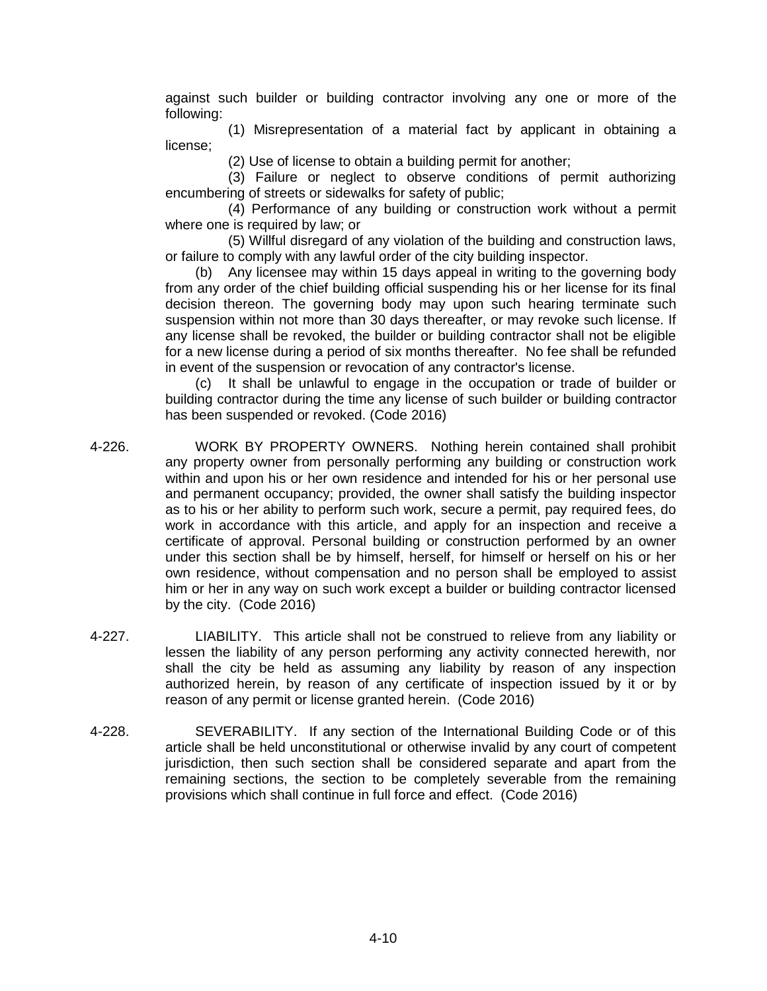against such builder or building contractor involving any one or more of the following:

(1) Misrepresentation of a material fact by applicant in obtaining a license;

(2) Use of license to obtain a building permit for another;

(3) Failure or neglect to observe conditions of permit authorizing encumbering of streets or sidewalks for safety of public;

(4) Performance of any building or construction work without a permit where one is required by law; or

(5) Willful disregard of any violation of the building and construction laws, or failure to comply with any lawful order of the city building inspector.

(b) Any licensee may within 15 days appeal in writing to the governing body from any order of the chief building official suspending his or her license for its final decision thereon. The governing body may upon such hearing terminate such suspension within not more than 30 days thereafter, or may revoke such license. If any license shall be revoked, the builder or building contractor shall not be eligible for a new license during a period of six months thereafter. No fee shall be refunded in event of the suspension or revocation of any contractor's license.

(c) It shall be unlawful to engage in the occupation or trade of builder or building contractor during the time any license of such builder or building contractor has been suspended or revoked. (Code 2016)

- 4-226. WORK BY PROPERTY OWNERS. Nothing herein contained shall prohibit any property owner from personally performing any building or construction work within and upon his or her own residence and intended for his or her personal use and permanent occupancy; provided, the owner shall satisfy the building inspector as to his or her ability to perform such work, secure a permit, pay required fees, do work in accordance with this article, and apply for an inspection and receive a certificate of approval. Personal building or construction performed by an owner under this section shall be by himself, herself, for himself or herself on his or her own residence, without compensation and no person shall be employed to assist him or her in any way on such work except a builder or building contractor licensed by the city. (Code 2016)
- 4-227. LIABILITY. This article shall not be construed to relieve from any liability or lessen the liability of any person performing any activity connected herewith, nor shall the city be held as assuming any liability by reason of any inspection authorized herein, by reason of any certificate of inspection issued by it or by reason of any permit or license granted herein. (Code 2016)
- 4-228. SEVERABILITY. If any section of the International Building Code or of this article shall be held unconstitutional or otherwise invalid by any court of competent jurisdiction, then such section shall be considered separate and apart from the remaining sections, the section to be completely severable from the remaining provisions which shall continue in full force and effect. (Code 2016)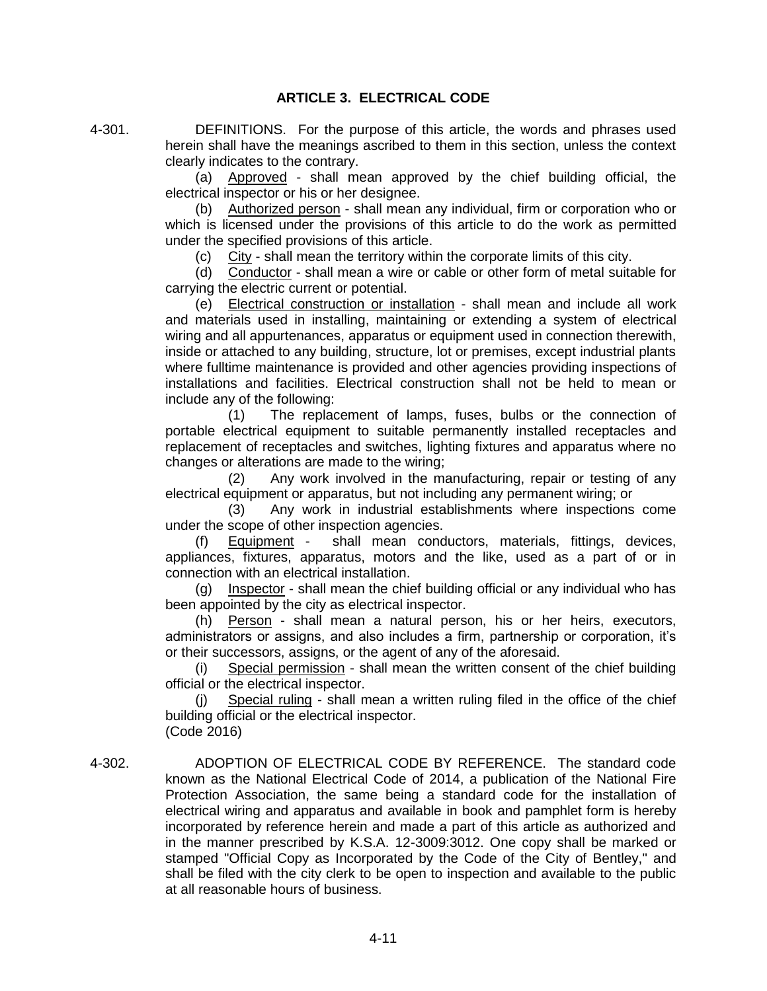4-301. DEFINITIONS. For the purpose of this article, the words and phrases used herein shall have the meanings ascribed to them in this section, unless the context clearly indicates to the contrary.

> (a) Approved - shall mean approved by the chief building official, the electrical inspector or his or her designee.

> (b) Authorized person - shall mean any individual, firm or corporation who or which is licensed under the provisions of this article to do the work as permitted under the specified provisions of this article.

(c) City - shall mean the territory within the corporate limits of this city.

(d) Conductor - shall mean a wire or cable or other form of metal suitable for carrying the electric current or potential.

(e) Electrical construction or installation - shall mean and include all work and materials used in installing, maintaining or extending a system of electrical wiring and all appurtenances, apparatus or equipment used in connection therewith, inside or attached to any building, structure, lot or premises, except industrial plants where fulltime maintenance is provided and other agencies providing inspections of installations and facilities. Electrical construction shall not be held to mean or include any of the following:

(1) The replacement of lamps, fuses, bulbs or the connection of portable electrical equipment to suitable permanently installed receptacles and replacement of receptacles and switches, lighting fixtures and apparatus where no changes or alterations are made to the wiring;

(2) Any work involved in the manufacturing, repair or testing of any electrical equipment or apparatus, but not including any permanent wiring; or

(3) Any work in industrial establishments where inspections come under the scope of other inspection agencies.

(f) Equipment - shall mean conductors, materials, fittings, devices, appliances, fixtures, apparatus, motors and the like, used as a part of or in connection with an electrical installation.

(g) Inspector - shall mean the chief building official or any individual who has been appointed by the city as electrical inspector.

(h) Person - shall mean a natural person, his or her heirs, executors, administrators or assigns, and also includes a firm, partnership or corporation, it's or their successors, assigns, or the agent of any of the aforesaid.

(i) Special permission - shall mean the written consent of the chief building official or the electrical inspector.

(j) Special ruling - shall mean a written ruling filed in the office of the chief building official or the electrical inspector. (Code 2016)

4-302. ADOPTION OF ELECTRICAL CODE BY REFERENCE. The standard code known as the National Electrical Code of 2014, a publication of the National Fire Protection Association, the same being a standard code for the installation of electrical wiring and apparatus and available in book and pamphlet form is hereby incorporated by reference herein and made a part of this article as authorized and in the manner prescribed by K.S.A. 12-3009:3012. One copy shall be marked or stamped "Official Copy as Incorporated by the Code of the City of Bentley," and shall be filed with the city clerk to be open to inspection and available to the public at all reasonable hours of business.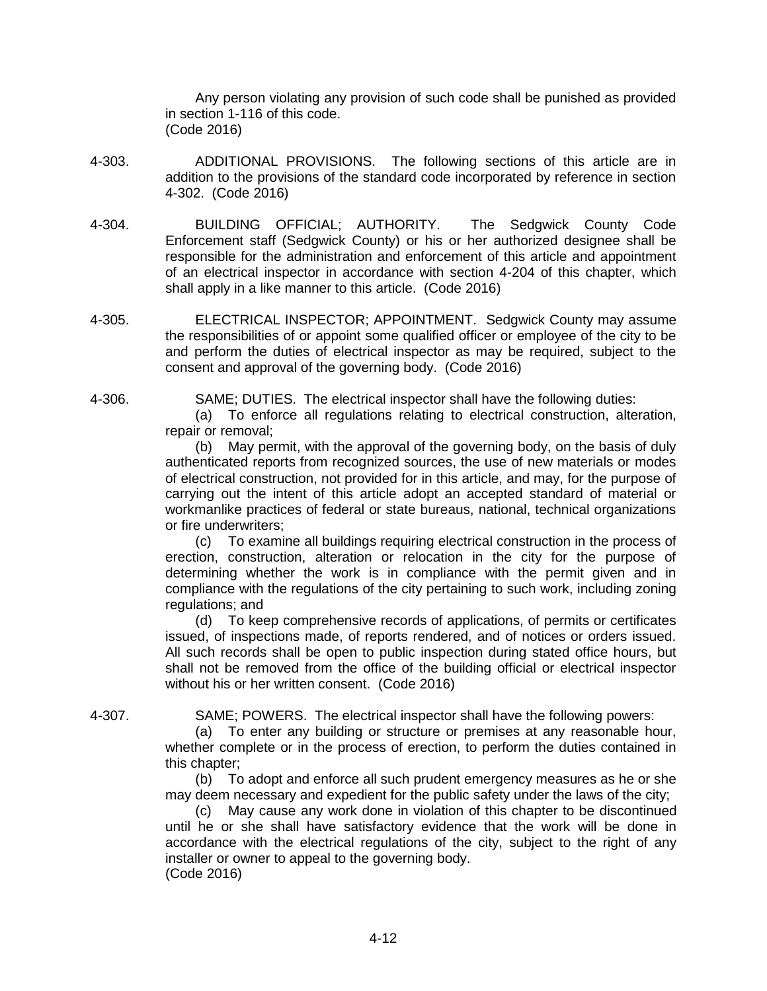Any person violating any provision of such code shall be punished as provided in section 1-116 of this code. (Code 2016)

- 4-303. ADDITIONAL PROVISIONS. The following sections of this article are in addition to the provisions of the standard code incorporated by reference in section 4-302. (Code 2016)
- 4-304. BUILDING OFFICIAL; AUTHORITY. The Sedgwick County Code Enforcement staff (Sedgwick County) or his or her authorized designee shall be responsible for the administration and enforcement of this article and appointment of an electrical inspector in accordance with section 4-204 of this chapter, which shall apply in a like manner to this article. (Code 2016)
- 4-305. ELECTRICAL INSPECTOR; APPOINTMENT. Sedgwick County may assume the responsibilities of or appoint some qualified officer or employee of the city to be and perform the duties of electrical inspector as may be required, subject to the consent and approval of the governing body. (Code 2016)

4-306. SAME; DUTIES. The electrical inspector shall have the following duties:

(a) To enforce all regulations relating to electrical construction, alteration, repair or removal;

(b) May permit, with the approval of the governing body, on the basis of duly authenticated reports from recognized sources, the use of new materials or modes of electrical construction, not provided for in this article, and may, for the purpose of carrying out the intent of this article adopt an accepted standard of material or workmanlike practices of federal or state bureaus, national, technical organizations or fire underwriters;

(c) To examine all buildings requiring electrical construction in the process of erection, construction, alteration or relocation in the city for the purpose of determining whether the work is in compliance with the permit given and in compliance with the regulations of the city pertaining to such work, including zoning regulations; and

(d) To keep comprehensive records of applications, of permits or certificates issued, of inspections made, of reports rendered, and of notices or orders issued. All such records shall be open to public inspection during stated office hours, but shall not be removed from the office of the building official or electrical inspector without his or her written consent. (Code 2016)

4-307. SAME; POWERS. The electrical inspector shall have the following powers:

(a) To enter any building or structure or premises at any reasonable hour, whether complete or in the process of erection, to perform the duties contained in this chapter;

(b) To adopt and enforce all such prudent emergency measures as he or she may deem necessary and expedient for the public safety under the laws of the city;

(c) May cause any work done in violation of this chapter to be discontinued until he or she shall have satisfactory evidence that the work will be done in accordance with the electrical regulations of the city, subject to the right of any installer or owner to appeal to the governing body. (Code 2016)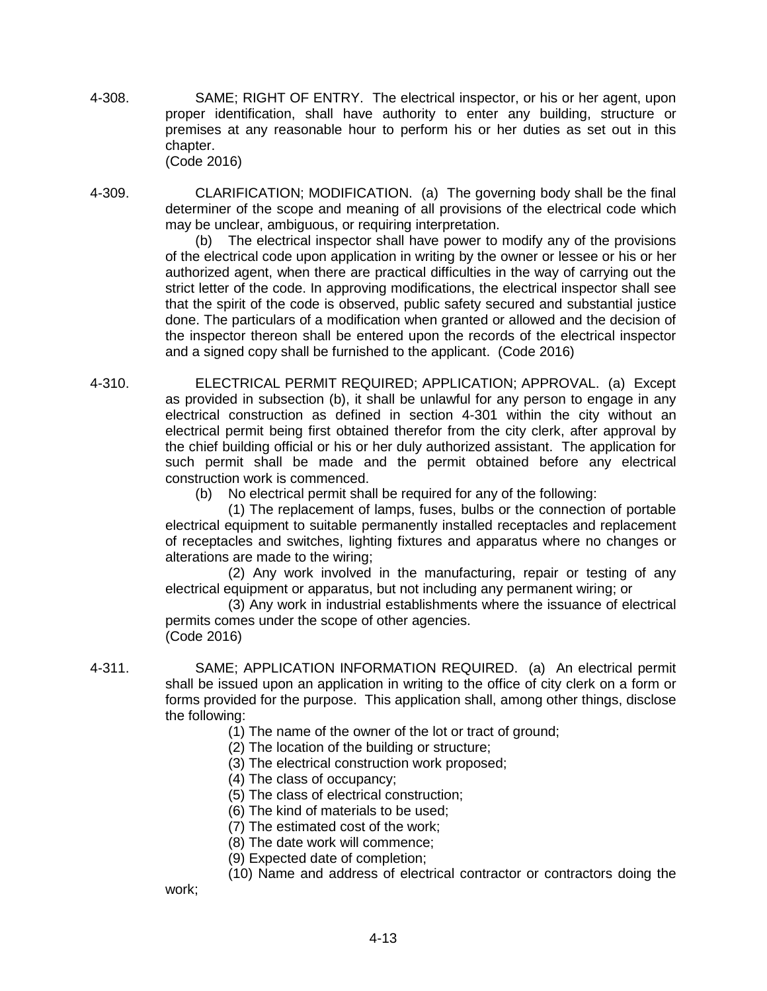- 4-308. SAME; RIGHT OF ENTRY. The electrical inspector, or his or her agent, upon proper identification, shall have authority to enter any building, structure or premises at any reasonable hour to perform his or her duties as set out in this chapter. (Code 2016)
- 4-309. CLARIFICATION; MODIFICATION. (a) The governing body shall be the final determiner of the scope and meaning of all provisions of the electrical code which may be unclear, ambiguous, or requiring interpretation.

(b) The electrical inspector shall have power to modify any of the provisions of the electrical code upon application in writing by the owner or lessee or his or her authorized agent, when there are practical difficulties in the way of carrying out the strict letter of the code. In approving modifications, the electrical inspector shall see that the spirit of the code is observed, public safety secured and substantial justice done. The particulars of a modification when granted or allowed and the decision of the inspector thereon shall be entered upon the records of the electrical inspector and a signed copy shall be furnished to the applicant. (Code 2016)

4-310. ELECTRICAL PERMIT REQUIRED; APPLICATION; APPROVAL. (a) Except as provided in subsection (b), it shall be unlawful for any person to engage in any electrical construction as defined in section 4-301 within the city without an electrical permit being first obtained therefor from the city clerk, after approval by the chief building official or his or her duly authorized assistant. The application for such permit shall be made and the permit obtained before any electrical construction work is commenced.

(b) No electrical permit shall be required for any of the following:

(1) The replacement of lamps, fuses, bulbs or the connection of portable electrical equipment to suitable permanently installed receptacles and replacement of receptacles and switches, lighting fixtures and apparatus where no changes or alterations are made to the wiring;

(2) Any work involved in the manufacturing, repair or testing of any electrical equipment or apparatus, but not including any permanent wiring; or

(3) Any work in industrial establishments where the issuance of electrical permits comes under the scope of other agencies. (Code 2016)

work;

4-311. SAME; APPLICATION INFORMATION REQUIRED. (a) An electrical permit shall be issued upon an application in writing to the office of city clerk on a form or forms provided for the purpose. This application shall, among other things, disclose the following:

- (1) The name of the owner of the lot or tract of ground;
- (2) The location of the building or structure;
- (3) The electrical construction work proposed;
- (4) The class of occupancy;
- (5) The class of electrical construction;
- (6) The kind of materials to be used;
- (7) The estimated cost of the work;
- (8) The date work will commence;
- (9) Expected date of completion;

(10) Name and address of electrical contractor or contractors doing the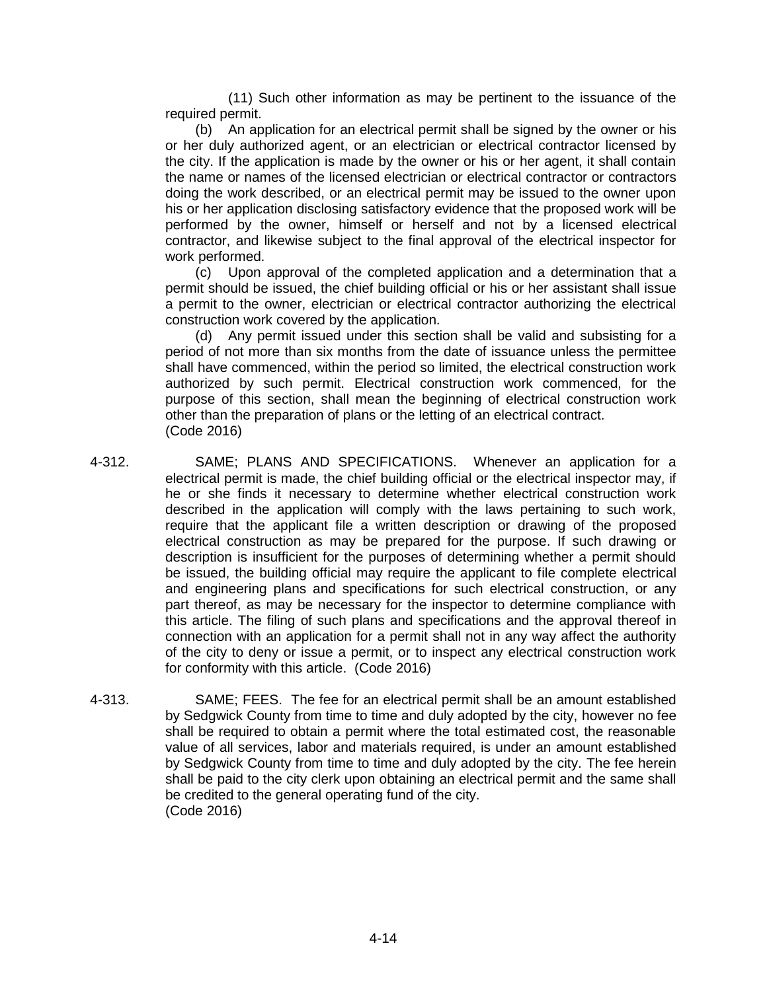(11) Such other information as may be pertinent to the issuance of the required permit.

(b) An application for an electrical permit shall be signed by the owner or his or her duly authorized agent, or an electrician or electrical contractor licensed by the city. If the application is made by the owner or his or her agent, it shall contain the name or names of the licensed electrician or electrical contractor or contractors doing the work described, or an electrical permit may be issued to the owner upon his or her application disclosing satisfactory evidence that the proposed work will be performed by the owner, himself or herself and not by a licensed electrical contractor, and likewise subject to the final approval of the electrical inspector for work performed.

(c) Upon approval of the completed application and a determination that a permit should be issued, the chief building official or his or her assistant shall issue a permit to the owner, electrician or electrical contractor authorizing the electrical construction work covered by the application.

(d) Any permit issued under this section shall be valid and subsisting for a period of not more than six months from the date of issuance unless the permittee shall have commenced, within the period so limited, the electrical construction work authorized by such permit. Electrical construction work commenced, for the purpose of this section, shall mean the beginning of electrical construction work other than the preparation of plans or the letting of an electrical contract. (Code 2016)

- 4-312. SAME; PLANS AND SPECIFICATIONS. Whenever an application for a electrical permit is made, the chief building official or the electrical inspector may, if he or she finds it necessary to determine whether electrical construction work described in the application will comply with the laws pertaining to such work, require that the applicant file a written description or drawing of the proposed electrical construction as may be prepared for the purpose. If such drawing or description is insufficient for the purposes of determining whether a permit should be issued, the building official may require the applicant to file complete electrical and engineering plans and specifications for such electrical construction, or any part thereof, as may be necessary for the inspector to determine compliance with this article. The filing of such plans and specifications and the approval thereof in connection with an application for a permit shall not in any way affect the authority of the city to deny or issue a permit, or to inspect any electrical construction work for conformity with this article. (Code 2016)
- 4-313. SAME; FEES. The fee for an electrical permit shall be an amount established by Sedgwick County from time to time and duly adopted by the city, however no fee shall be required to obtain a permit where the total estimated cost, the reasonable value of all services, labor and materials required, is under an amount established by Sedgwick County from time to time and duly adopted by the city. The fee herein shall be paid to the city clerk upon obtaining an electrical permit and the same shall be credited to the general operating fund of the city. (Code 2016)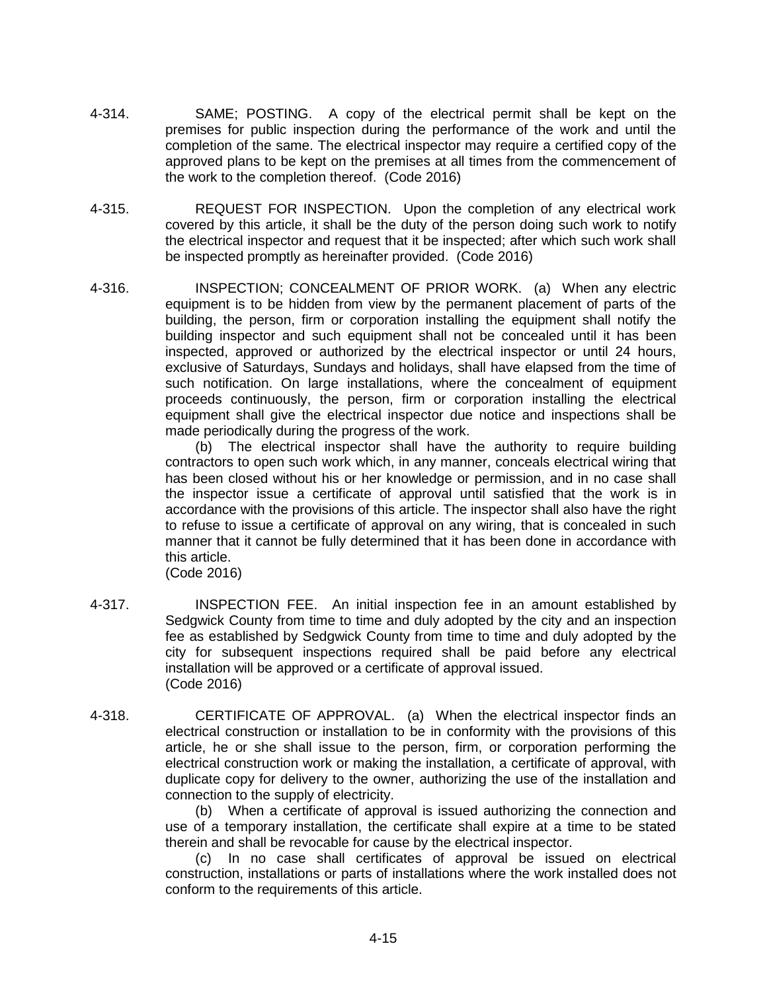- 4-314. SAME; POSTING. A copy of the electrical permit shall be kept on the premises for public inspection during the performance of the work and until the completion of the same. The electrical inspector may require a certified copy of the approved plans to be kept on the premises at all times from the commencement of the work to the completion thereof. (Code 2016)
- 4-315. REQUEST FOR INSPECTION. Upon the completion of any electrical work covered by this article, it shall be the duty of the person doing such work to notify the electrical inspector and request that it be inspected; after which such work shall be inspected promptly as hereinafter provided. (Code 2016)
- 4-316. INSPECTION; CONCEALMENT OF PRIOR WORK. (a) When any electric equipment is to be hidden from view by the permanent placement of parts of the building, the person, firm or corporation installing the equipment shall notify the building inspector and such equipment shall not be concealed until it has been inspected, approved or authorized by the electrical inspector or until 24 hours, exclusive of Saturdays, Sundays and holidays, shall have elapsed from the time of such notification. On large installations, where the concealment of equipment proceeds continuously, the person, firm or corporation installing the electrical equipment shall give the electrical inspector due notice and inspections shall be made periodically during the progress of the work.

(b) The electrical inspector shall have the authority to require building contractors to open such work which, in any manner, conceals electrical wiring that has been closed without his or her knowledge or permission, and in no case shall the inspector issue a certificate of approval until satisfied that the work is in accordance with the provisions of this article. The inspector shall also have the right to refuse to issue a certificate of approval on any wiring, that is concealed in such manner that it cannot be fully determined that it has been done in accordance with this article.

(Code 2016)

- 4-317. INSPECTION FEE. An initial inspection fee in an amount established by Sedgwick County from time to time and duly adopted by the city and an inspection fee as established by Sedgwick County from time to time and duly adopted by the city for subsequent inspections required shall be paid before any electrical installation will be approved or a certificate of approval issued. (Code 2016)
- 4-318. CERTIFICATE OF APPROVAL. (a) When the electrical inspector finds an electrical construction or installation to be in conformity with the provisions of this article, he or she shall issue to the person, firm, or corporation performing the electrical construction work or making the installation, a certificate of approval, with duplicate copy for delivery to the owner, authorizing the use of the installation and connection to the supply of electricity.

(b) When a certificate of approval is issued authorizing the connection and use of a temporary installation, the certificate shall expire at a time to be stated therein and shall be revocable for cause by the electrical inspector.

(c) In no case shall certificates of approval be issued on electrical construction, installations or parts of installations where the work installed does not conform to the requirements of this article.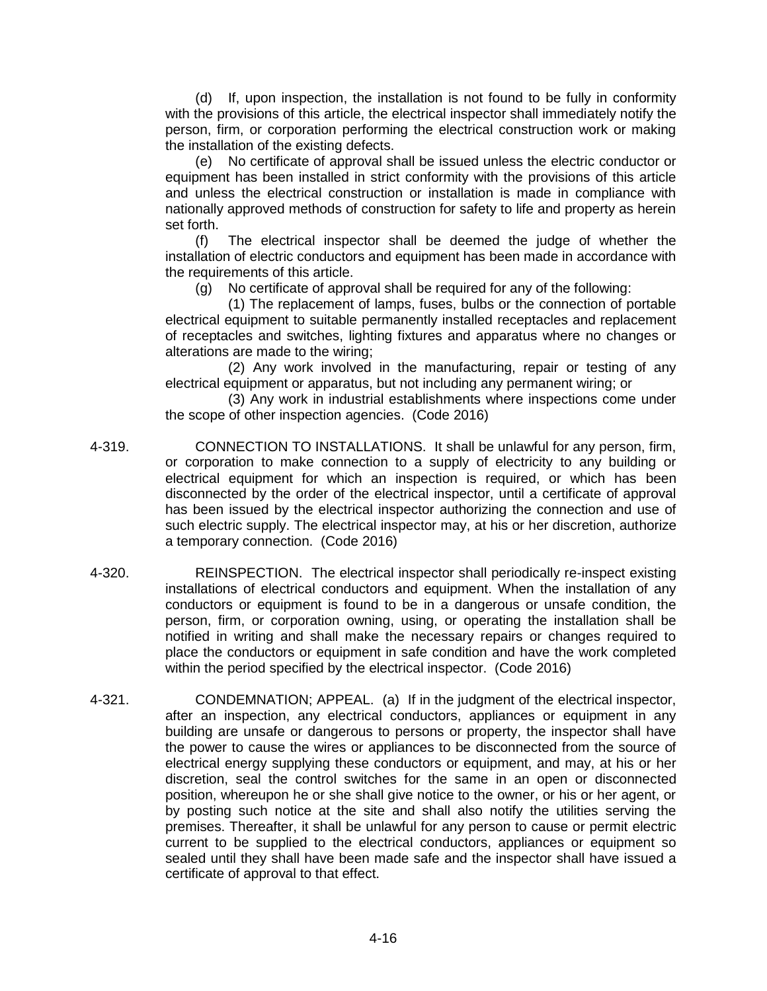(d) If, upon inspection, the installation is not found to be fully in conformity with the provisions of this article, the electrical inspector shall immediately notify the person, firm, or corporation performing the electrical construction work or making the installation of the existing defects.

(e) No certificate of approval shall be issued unless the electric conductor or equipment has been installed in strict conformity with the provisions of this article and unless the electrical construction or installation is made in compliance with nationally approved methods of construction for safety to life and property as herein set forth.

(f) The electrical inspector shall be deemed the judge of whether the installation of electric conductors and equipment has been made in accordance with the requirements of this article.

(g) No certificate of approval shall be required for any of the following:

(1) The replacement of lamps, fuses, bulbs or the connection of portable electrical equipment to suitable permanently installed receptacles and replacement of receptacles and switches, lighting fixtures and apparatus where no changes or alterations are made to the wiring;

(2) Any work involved in the manufacturing, repair or testing of any electrical equipment or apparatus, but not including any permanent wiring; or

(3) Any work in industrial establishments where inspections come under the scope of other inspection agencies. (Code 2016)

- 4-319. CONNECTION TO INSTALLATIONS. It shall be unlawful for any person, firm, or corporation to make connection to a supply of electricity to any building or electrical equipment for which an inspection is required, or which has been disconnected by the order of the electrical inspector, until a certificate of approval has been issued by the electrical inspector authorizing the connection and use of such electric supply. The electrical inspector may, at his or her discretion, authorize a temporary connection. (Code 2016)
- 4-320. REINSPECTION. The electrical inspector shall periodically re-inspect existing installations of electrical conductors and equipment. When the installation of any conductors or equipment is found to be in a dangerous or unsafe condition, the person, firm, or corporation owning, using, or operating the installation shall be notified in writing and shall make the necessary repairs or changes required to place the conductors or equipment in safe condition and have the work completed within the period specified by the electrical inspector. (Code 2016)
- 4-321. CONDEMNATION; APPEAL. (a) If in the judgment of the electrical inspector, after an inspection, any electrical conductors, appliances or equipment in any building are unsafe or dangerous to persons or property, the inspector shall have the power to cause the wires or appliances to be disconnected from the source of electrical energy supplying these conductors or equipment, and may, at his or her discretion, seal the control switches for the same in an open or disconnected position, whereupon he or she shall give notice to the owner, or his or her agent, or by posting such notice at the site and shall also notify the utilities serving the premises. Thereafter, it shall be unlawful for any person to cause or permit electric current to be supplied to the electrical conductors, appliances or equipment so sealed until they shall have been made safe and the inspector shall have issued a certificate of approval to that effect.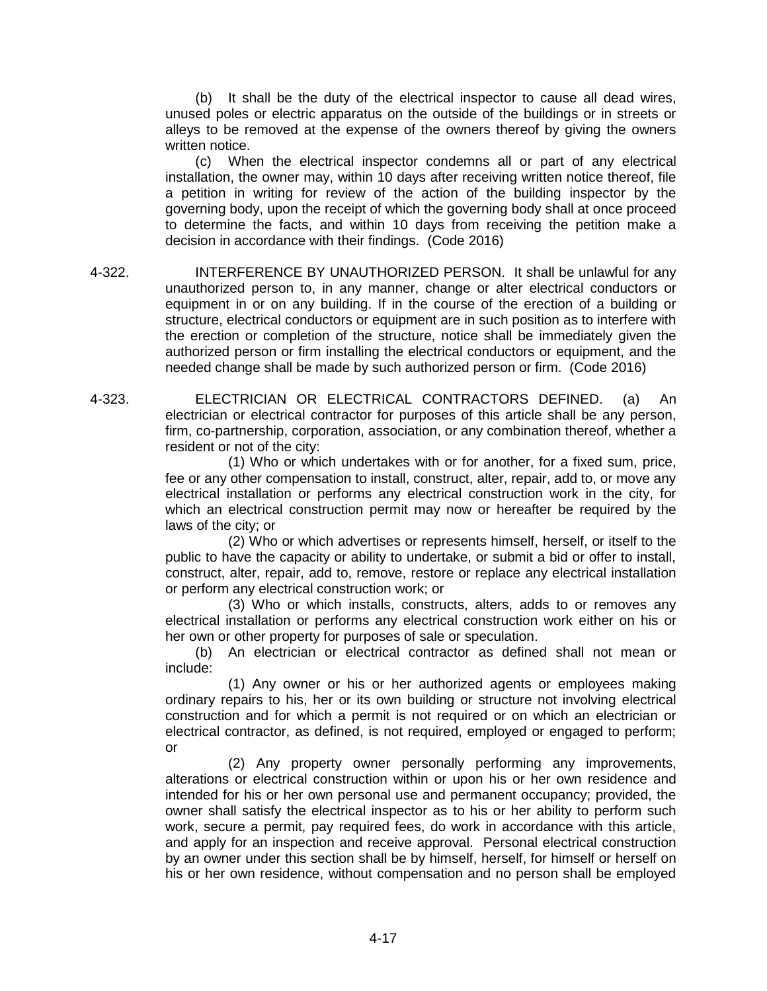(b) It shall be the duty of the electrical inspector to cause all dead wires, unused poles or electric apparatus on the outside of the buildings or in streets or alleys to be removed at the expense of the owners thereof by giving the owners written notice.

(c) When the electrical inspector condemns all or part of any electrical installation, the owner may, within 10 days after receiving written notice thereof, file a petition in writing for review of the action of the building inspector by the governing body, upon the receipt of which the governing body shall at once proceed to determine the facts, and within 10 days from receiving the petition make a decision in accordance with their findings. (Code 2016)

- 4-322. INTERFERENCE BY UNAUTHORIZED PERSON. It shall be unlawful for any unauthorized person to, in any manner, change or alter electrical conductors or equipment in or on any building. If in the course of the erection of a building or structure, electrical conductors or equipment are in such position as to interfere with the erection or completion of the structure, notice shall be immediately given the authorized person or firm installing the electrical conductors or equipment, and the needed change shall be made by such authorized person or firm. (Code 2016)
- 4-323. ELECTRICIAN OR ELECTRICAL CONTRACTORS DEFINED. (a) An electrician or electrical contractor for purposes of this article shall be any person, firm, co-partnership, corporation, association, or any combination thereof, whether a resident or not of the city:

(1) Who or which undertakes with or for another, for a fixed sum, price, fee or any other compensation to install, construct, alter, repair, add to, or move any electrical installation or performs any electrical construction work in the city, for which an electrical construction permit may now or hereafter be required by the laws of the city; or

(2) Who or which advertises or represents himself, herself, or itself to the public to have the capacity or ability to undertake, or submit a bid or offer to install, construct, alter, repair, add to, remove, restore or replace any electrical installation or perform any electrical construction work; or

(3) Who or which installs, constructs, alters, adds to or removes any electrical installation or performs any electrical construction work either on his or her own or other property for purposes of sale or speculation.

(b) An electrician or electrical contractor as defined shall not mean or include:

(1) Any owner or his or her authorized agents or employees making ordinary repairs to his, her or its own building or structure not involving electrical construction and for which a permit is not required or on which an electrician or electrical contractor, as defined, is not required, employed or engaged to perform; or

(2) Any property owner personally performing any improvements, alterations or electrical construction within or upon his or her own residence and intended for his or her own personal use and permanent occupancy; provided, the owner shall satisfy the electrical inspector as to his or her ability to perform such work, secure a permit, pay required fees, do work in accordance with this article, and apply for an inspection and receive approval. Personal electrical construction by an owner under this section shall be by himself, herself, for himself or herself on his or her own residence, without compensation and no person shall be employed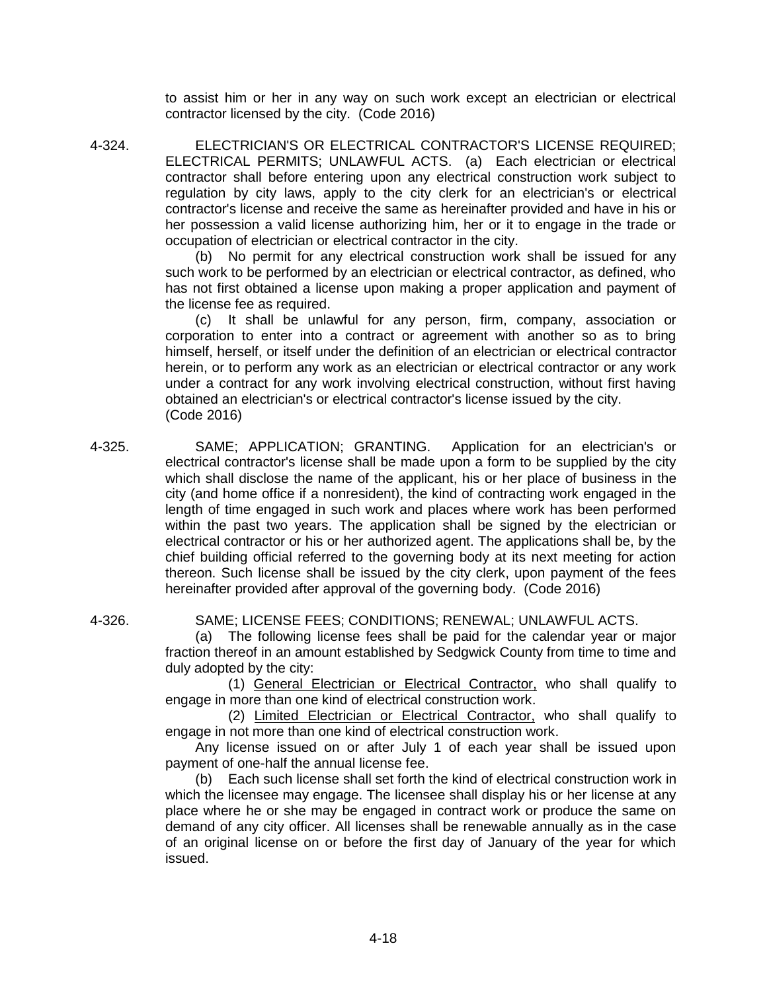to assist him or her in any way on such work except an electrician or electrical contractor licensed by the city. (Code 2016)

4-324. ELECTRICIAN'S OR ELECTRICAL CONTRACTOR'S LICENSE REQUIRED; ELECTRICAL PERMITS; UNLAWFUL ACTS. (a) Each electrician or electrical contractor shall before entering upon any electrical construction work subject to regulation by city laws, apply to the city clerk for an electrician's or electrical contractor's license and receive the same as hereinafter provided and have in his or her possession a valid license authorizing him, her or it to engage in the trade or occupation of electrician or electrical contractor in the city.

(b) No permit for any electrical construction work shall be issued for any such work to be performed by an electrician or electrical contractor, as defined, who has not first obtained a license upon making a proper application and payment of the license fee as required.

(c) It shall be unlawful for any person, firm, company, association or corporation to enter into a contract or agreement with another so as to bring himself, herself, or itself under the definition of an electrician or electrical contractor herein, or to perform any work as an electrician or electrical contractor or any work under a contract for any work involving electrical construction, without first having obtained an electrician's or electrical contractor's license issued by the city. (Code 2016)

- 4-325. SAME; APPLICATION; GRANTING. Application for an electrician's or electrical contractor's license shall be made upon a form to be supplied by the city which shall disclose the name of the applicant, his or her place of business in the city (and home office if a nonresident), the kind of contracting work engaged in the length of time engaged in such work and places where work has been performed within the past two years. The application shall be signed by the electrician or electrical contractor or his or her authorized agent. The applications shall be, by the chief building official referred to the governing body at its next meeting for action thereon. Such license shall be issued by the city clerk, upon payment of the fees hereinafter provided after approval of the governing body. (Code 2016)
- 

4-326. SAME; LICENSE FEES; CONDITIONS; RENEWAL; UNLAWFUL ACTS.

(a) The following license fees shall be paid for the calendar year or major fraction thereof in an amount established by Sedgwick County from time to time and duly adopted by the city:

(1) General Electrician or Electrical Contractor, who shall qualify to engage in more than one kind of electrical construction work.

(2) Limited Electrician or Electrical Contractor, who shall qualify to engage in not more than one kind of electrical construction work.

Any license issued on or after July 1 of each year shall be issued upon payment of one-half the annual license fee.

(b) Each such license shall set forth the kind of electrical construction work in which the licensee may engage. The licensee shall display his or her license at any place where he or she may be engaged in contract work or produce the same on demand of any city officer. All licenses shall be renewable annually as in the case of an original license on or before the first day of January of the year for which issued.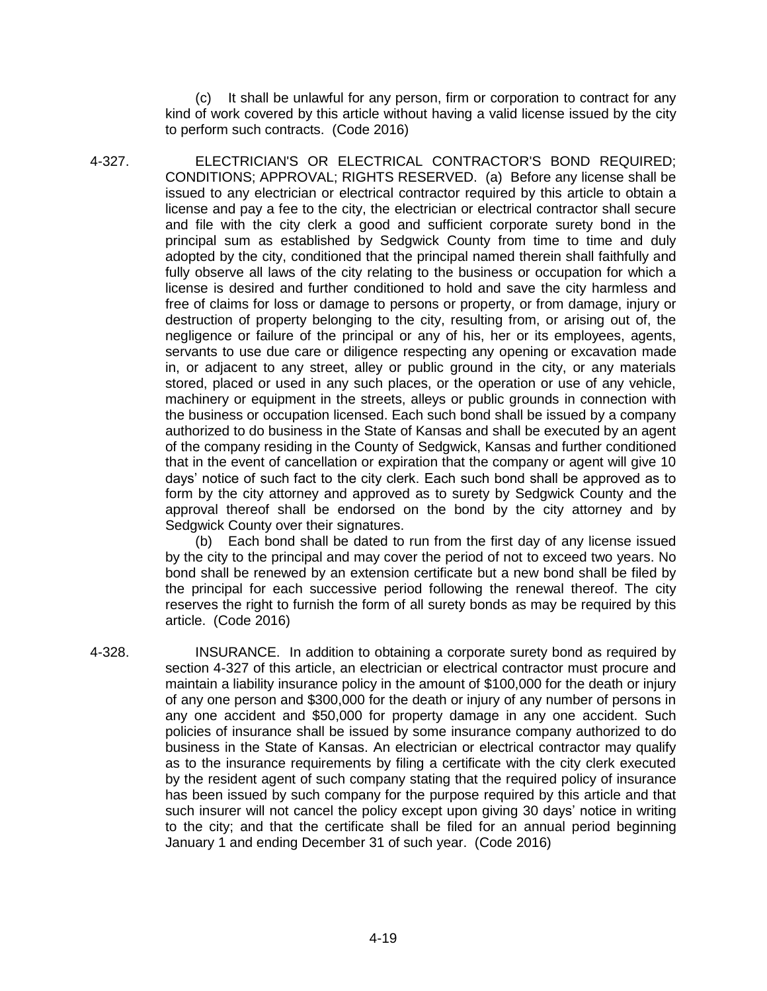(c) It shall be unlawful for any person, firm or corporation to contract for any kind of work covered by this article without having a valid license issued by the city to perform such contracts. (Code 2016)

4-327. ELECTRICIAN'S OR ELECTRICAL CONTRACTOR'S BOND REQUIRED; CONDITIONS; APPROVAL; RIGHTS RESERVED. (a) Before any license shall be issued to any electrician or electrical contractor required by this article to obtain a license and pay a fee to the city, the electrician or electrical contractor shall secure and file with the city clerk a good and sufficient corporate surety bond in the principal sum as established by Sedgwick County from time to time and duly adopted by the city, conditioned that the principal named therein shall faithfully and fully observe all laws of the city relating to the business or occupation for which a license is desired and further conditioned to hold and save the city harmless and free of claims for loss or damage to persons or property, or from damage, injury or destruction of property belonging to the city, resulting from, or arising out of, the negligence or failure of the principal or any of his, her or its employees, agents, servants to use due care or diligence respecting any opening or excavation made in, or adjacent to any street, alley or public ground in the city, or any materials stored, placed or used in any such places, or the operation or use of any vehicle, machinery or equipment in the streets, alleys or public grounds in connection with the business or occupation licensed. Each such bond shall be issued by a company authorized to do business in the State of Kansas and shall be executed by an agent of the company residing in the County of Sedgwick, Kansas and further conditioned that in the event of cancellation or expiration that the company or agent will give 10 days' notice of such fact to the city clerk. Each such bond shall be approved as to form by the city attorney and approved as to surety by Sedgwick County and the approval thereof shall be endorsed on the bond by the city attorney and by Sedgwick County over their signatures.

(b) Each bond shall be dated to run from the first day of any license issued by the city to the principal and may cover the period of not to exceed two years. No bond shall be renewed by an extension certificate but a new bond shall be filed by the principal for each successive period following the renewal thereof. The city reserves the right to furnish the form of all surety bonds as may be required by this article. (Code 2016)

4-328. INSURANCE. In addition to obtaining a corporate surety bond as required by section 4-327 of this article, an electrician or electrical contractor must procure and maintain a liability insurance policy in the amount of \$100,000 for the death or injury of any one person and \$300,000 for the death or injury of any number of persons in any one accident and \$50,000 for property damage in any one accident. Such policies of insurance shall be issued by some insurance company authorized to do business in the State of Kansas. An electrician or electrical contractor may qualify as to the insurance requirements by filing a certificate with the city clerk executed by the resident agent of such company stating that the required policy of insurance has been issued by such company for the purpose required by this article and that such insurer will not cancel the policy except upon giving 30 days' notice in writing to the city; and that the certificate shall be filed for an annual period beginning January 1 and ending December 31 of such year. (Code 2016)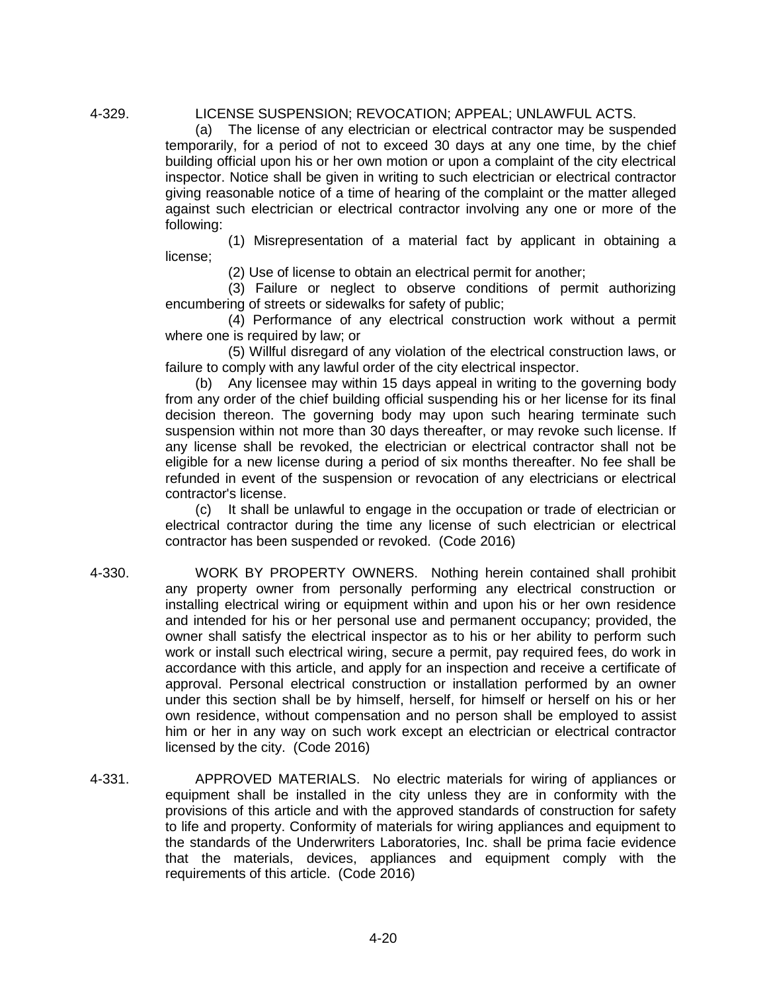#### 4-329. LICENSE SUSPENSION; REVOCATION; APPEAL; UNLAWFUL ACTS.

(a) The license of any electrician or electrical contractor may be suspended temporarily, for a period of not to exceed 30 days at any one time, by the chief building official upon his or her own motion or upon a complaint of the city electrical inspector. Notice shall be given in writing to such electrician or electrical contractor giving reasonable notice of a time of hearing of the complaint or the matter alleged against such electrician or electrical contractor involving any one or more of the following:

(1) Misrepresentation of a material fact by applicant in obtaining a license;

(2) Use of license to obtain an electrical permit for another;

(3) Failure or neglect to observe conditions of permit authorizing encumbering of streets or sidewalks for safety of public;

(4) Performance of any electrical construction work without a permit where one is required by law; or

(5) Willful disregard of any violation of the electrical construction laws, or failure to comply with any lawful order of the city electrical inspector.

(b) Any licensee may within 15 days appeal in writing to the governing body from any order of the chief building official suspending his or her license for its final decision thereon. The governing body may upon such hearing terminate such suspension within not more than 30 days thereafter, or may revoke such license. If any license shall be revoked, the electrician or electrical contractor shall not be eligible for a new license during a period of six months thereafter. No fee shall be refunded in event of the suspension or revocation of any electricians or electrical contractor's license.

(c) It shall be unlawful to engage in the occupation or trade of electrician or electrical contractor during the time any license of such electrician or electrical contractor has been suspended or revoked. (Code 2016)

- 4-330. WORK BY PROPERTY OWNERS. Nothing herein contained shall prohibit any property owner from personally performing any electrical construction or installing electrical wiring or equipment within and upon his or her own residence and intended for his or her personal use and permanent occupancy; provided, the owner shall satisfy the electrical inspector as to his or her ability to perform such work or install such electrical wiring, secure a permit, pay required fees, do work in accordance with this article, and apply for an inspection and receive a certificate of approval. Personal electrical construction or installation performed by an owner under this section shall be by himself, herself, for himself or herself on his or her own residence, without compensation and no person shall be employed to assist him or her in any way on such work except an electrician or electrical contractor licensed by the city. (Code 2016)
- 4-331. APPROVED MATERIALS. No electric materials for wiring of appliances or equipment shall be installed in the city unless they are in conformity with the provisions of this article and with the approved standards of construction for safety to life and property. Conformity of materials for wiring appliances and equipment to the standards of the Underwriters Laboratories, Inc. shall be prima facie evidence that the materials, devices, appliances and equipment comply with the requirements of this article. (Code 2016)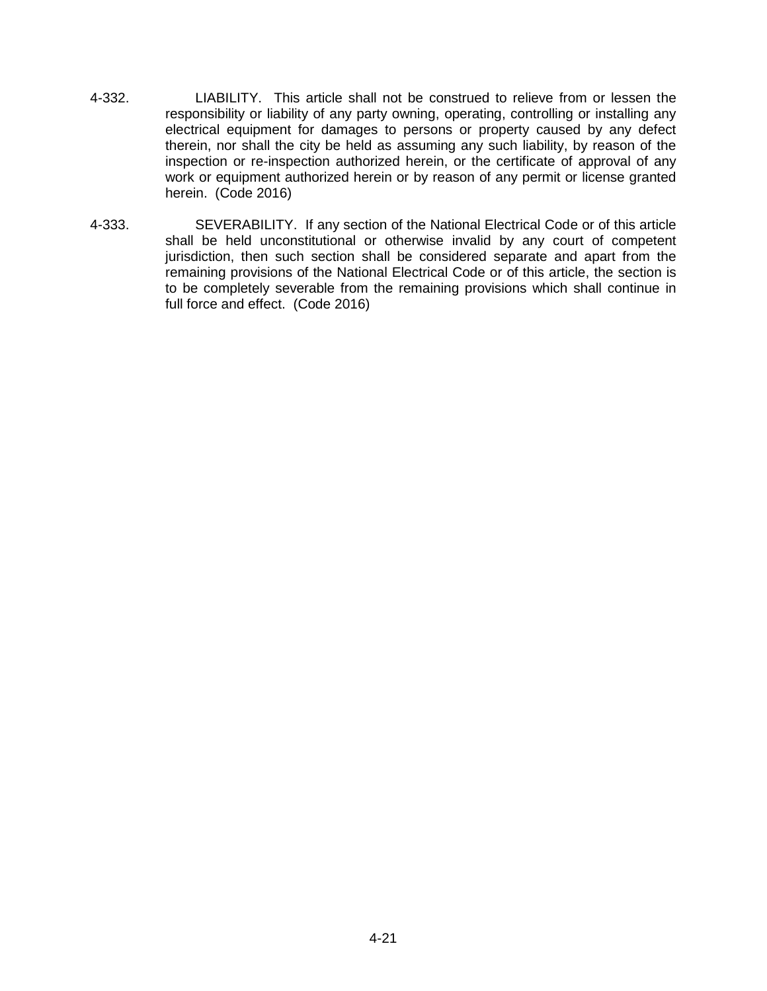- 4-332. LIABILITY. This article shall not be construed to relieve from or lessen the responsibility or liability of any party owning, operating, controlling or installing any electrical equipment for damages to persons or property caused by any defect therein, nor shall the city be held as assuming any such liability, by reason of the inspection or re-inspection authorized herein, or the certificate of approval of any work or equipment authorized herein or by reason of any permit or license granted herein. (Code 2016)
- 4-333. SEVERABILITY. If any section of the National Electrical Code or of this article shall be held unconstitutional or otherwise invalid by any court of competent jurisdiction, then such section shall be considered separate and apart from the remaining provisions of the National Electrical Code or of this article, the section is to be completely severable from the remaining provisions which shall continue in full force and effect. (Code 2016)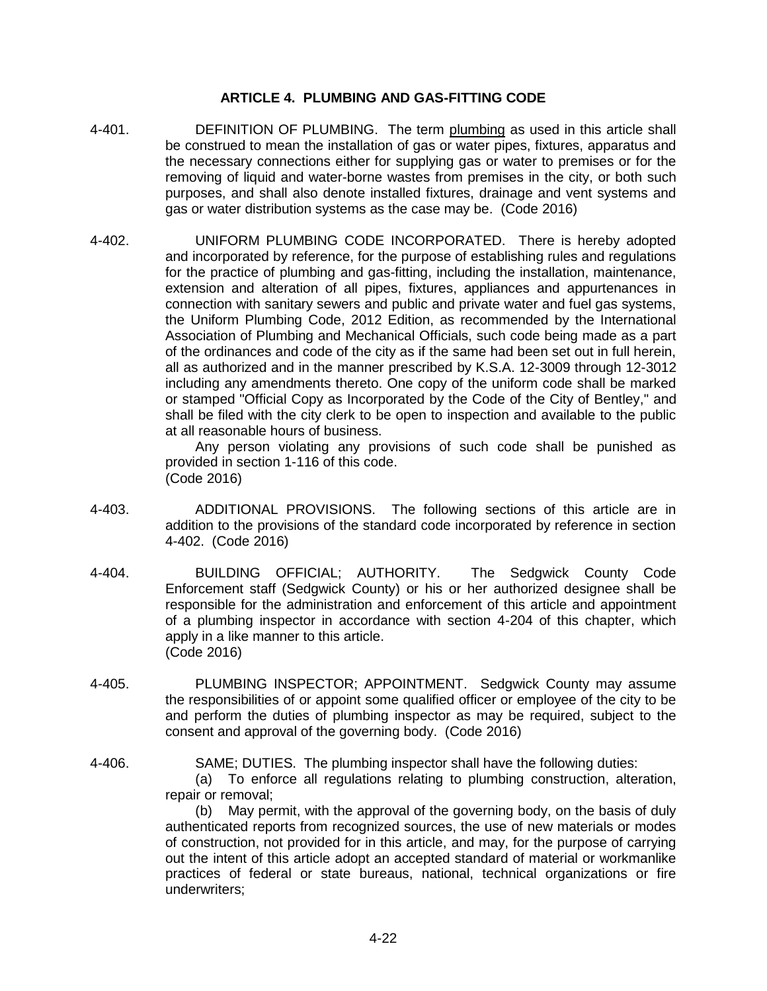#### **ARTICLE 4. PLUMBING AND GAS-FITTING CODE**

- 4-401. DEFINITION OF PLUMBING. The term plumbing as used in this article shall be construed to mean the installation of gas or water pipes, fixtures, apparatus and the necessary connections either for supplying gas or water to premises or for the removing of liquid and water-borne wastes from premises in the city, or both such purposes, and shall also denote installed fixtures, drainage and vent systems and gas or water distribution systems as the case may be. (Code 2016)
- 4-402. UNIFORM PLUMBING CODE INCORPORATED. There is hereby adopted and incorporated by reference, for the purpose of establishing rules and regulations for the practice of plumbing and gas-fitting, including the installation, maintenance, extension and alteration of all pipes, fixtures, appliances and appurtenances in connection with sanitary sewers and public and private water and fuel gas systems, the Uniform Plumbing Code, 2012 Edition, as recommended by the International Association of Plumbing and Mechanical Officials, such code being made as a part of the ordinances and code of the city as if the same had been set out in full herein, all as authorized and in the manner prescribed by K.S.A. 12-3009 through 12-3012 including any amendments thereto. One copy of the uniform code shall be marked or stamped "Official Copy as Incorporated by the Code of the City of Bentley," and shall be filed with the city clerk to be open to inspection and available to the public at all reasonable hours of business.

Any person violating any provisions of such code shall be punished as provided in section 1-116 of this code. (Code 2016)

- 4-403. ADDITIONAL PROVISIONS. The following sections of this article are in addition to the provisions of the standard code incorporated by reference in section 4-402. (Code 2016)
- 4-404. BUILDING OFFICIAL; AUTHORITY. The Sedgwick County Code Enforcement staff (Sedgwick County) or his or her authorized designee shall be responsible for the administration and enforcement of this article and appointment of a plumbing inspector in accordance with section 4-204 of this chapter, which apply in a like manner to this article. (Code 2016)
- 4-405. PLUMBING INSPECTOR; APPOINTMENT. Sedgwick County may assume the responsibilities of or appoint some qualified officer or employee of the city to be and perform the duties of plumbing inspector as may be required, subject to the consent and approval of the governing body. (Code 2016)
- 4-406. SAME; DUTIES. The plumbing inspector shall have the following duties:

(a) To enforce all regulations relating to plumbing construction, alteration, repair or removal;

(b) May permit, with the approval of the governing body, on the basis of duly authenticated reports from recognized sources, the use of new materials or modes of construction, not provided for in this article, and may, for the purpose of carrying out the intent of this article adopt an accepted standard of material or workmanlike practices of federal or state bureaus, national, technical organizations or fire underwriters;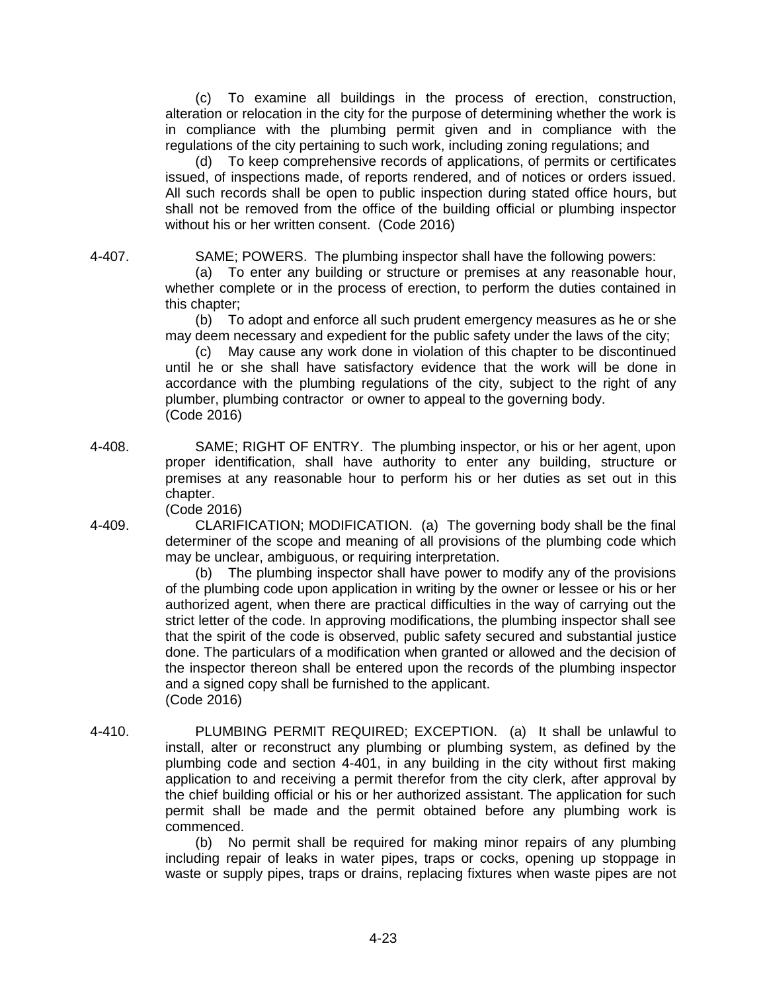(c) To examine all buildings in the process of erection, construction, alteration or relocation in the city for the purpose of determining whether the work is in compliance with the plumbing permit given and in compliance with the regulations of the city pertaining to such work, including zoning regulations; and

(d) To keep comprehensive records of applications, of permits or certificates issued, of inspections made, of reports rendered, and of notices or orders issued. All such records shall be open to public inspection during stated office hours, but shall not be removed from the office of the building official or plumbing inspector without his or her written consent. (Code 2016)

4-407. SAME; POWERS. The plumbing inspector shall have the following powers:

(a) To enter any building or structure or premises at any reasonable hour, whether complete or in the process of erection, to perform the duties contained in this chapter;

(b) To adopt and enforce all such prudent emergency measures as he or she may deem necessary and expedient for the public safety under the laws of the city;

(c) May cause any work done in violation of this chapter to be discontinued until he or she shall have satisfactory evidence that the work will be done in accordance with the plumbing regulations of the city, subject to the right of any plumber, plumbing contractor or owner to appeal to the governing body. (Code 2016)

4-408. SAME; RIGHT OF ENTRY. The plumbing inspector, or his or her agent, upon proper identification, shall have authority to enter any building, structure or premises at any reasonable hour to perform his or her duties as set out in this chapter.

(Code 2016)

4-409. CLARIFICATION; MODIFICATION. (a) The governing body shall be the final determiner of the scope and meaning of all provisions of the plumbing code which may be unclear, ambiguous, or requiring interpretation.

> (b) The plumbing inspector shall have power to modify any of the provisions of the plumbing code upon application in writing by the owner or lessee or his or her authorized agent, when there are practical difficulties in the way of carrying out the strict letter of the code. In approving modifications, the plumbing inspector shall see that the spirit of the code is observed, public safety secured and substantial justice done. The particulars of a modification when granted or allowed and the decision of the inspector thereon shall be entered upon the records of the plumbing inspector and a signed copy shall be furnished to the applicant. (Code 2016)

4-410. PLUMBING PERMIT REQUIRED; EXCEPTION. (a) It shall be unlawful to install, alter or reconstruct any plumbing or plumbing system, as defined by the plumbing code and section 4-401, in any building in the city without first making application to and receiving a permit therefor from the city clerk, after approval by the chief building official or his or her authorized assistant. The application for such permit shall be made and the permit obtained before any plumbing work is commenced.

> (b) No permit shall be required for making minor repairs of any plumbing including repair of leaks in water pipes, traps or cocks, opening up stoppage in waste or supply pipes, traps or drains, replacing fixtures when waste pipes are not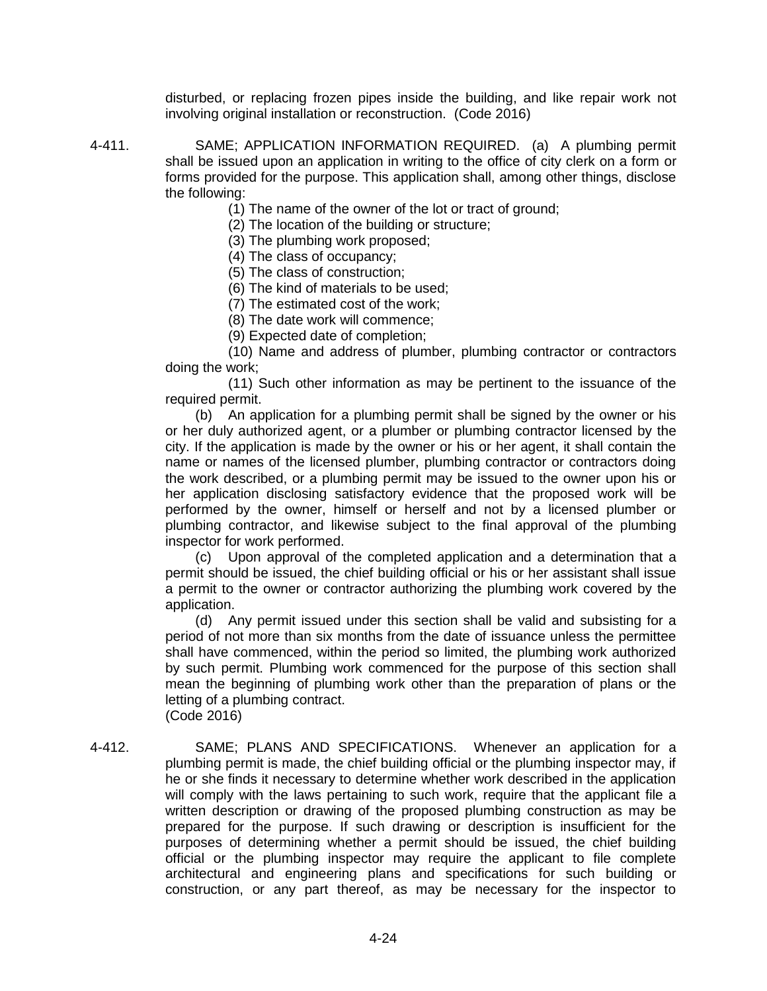disturbed, or replacing frozen pipes inside the building, and like repair work not involving original installation or reconstruction. (Code 2016)

- 4-411. SAME; APPLICATION INFORMATION REQUIRED. (a) A plumbing permit shall be issued upon an application in writing to the office of city clerk on a form or forms provided for the purpose. This application shall, among other things, disclose the following:
	- (1) The name of the owner of the lot or tract of ground;
	- (2) The location of the building or structure;
	- (3) The plumbing work proposed;
	- (4) The class of occupancy;
	- (5) The class of construction;
	- (6) The kind of materials to be used;
	- (7) The estimated cost of the work;
	- (8) The date work will commence;
	- (9) Expected date of completion;

(10) Name and address of plumber, plumbing contractor or contractors doing the work;

(11) Such other information as may be pertinent to the issuance of the required permit.

(b) An application for a plumbing permit shall be signed by the owner or his or her duly authorized agent, or a plumber or plumbing contractor licensed by the city. If the application is made by the owner or his or her agent, it shall contain the name or names of the licensed plumber, plumbing contractor or contractors doing the work described, or a plumbing permit may be issued to the owner upon his or her application disclosing satisfactory evidence that the proposed work will be performed by the owner, himself or herself and not by a licensed plumber or plumbing contractor, and likewise subject to the final approval of the plumbing inspector for work performed.

(c) Upon approval of the completed application and a determination that a permit should be issued, the chief building official or his or her assistant shall issue a permit to the owner or contractor authorizing the plumbing work covered by the application.

(d) Any permit issued under this section shall be valid and subsisting for a period of not more than six months from the date of issuance unless the permittee shall have commenced, within the period so limited, the plumbing work authorized by such permit. Plumbing work commenced for the purpose of this section shall mean the beginning of plumbing work other than the preparation of plans or the letting of a plumbing contract.

(Code 2016)

4-412. SAME; PLANS AND SPECIFICATIONS. Whenever an application for a plumbing permit is made, the chief building official or the plumbing inspector may, if he or she finds it necessary to determine whether work described in the application will comply with the laws pertaining to such work, require that the applicant file a written description or drawing of the proposed plumbing construction as may be prepared for the purpose. If such drawing or description is insufficient for the purposes of determining whether a permit should be issued, the chief building official or the plumbing inspector may require the applicant to file complete architectural and engineering plans and specifications for such building or construction, or any part thereof, as may be necessary for the inspector to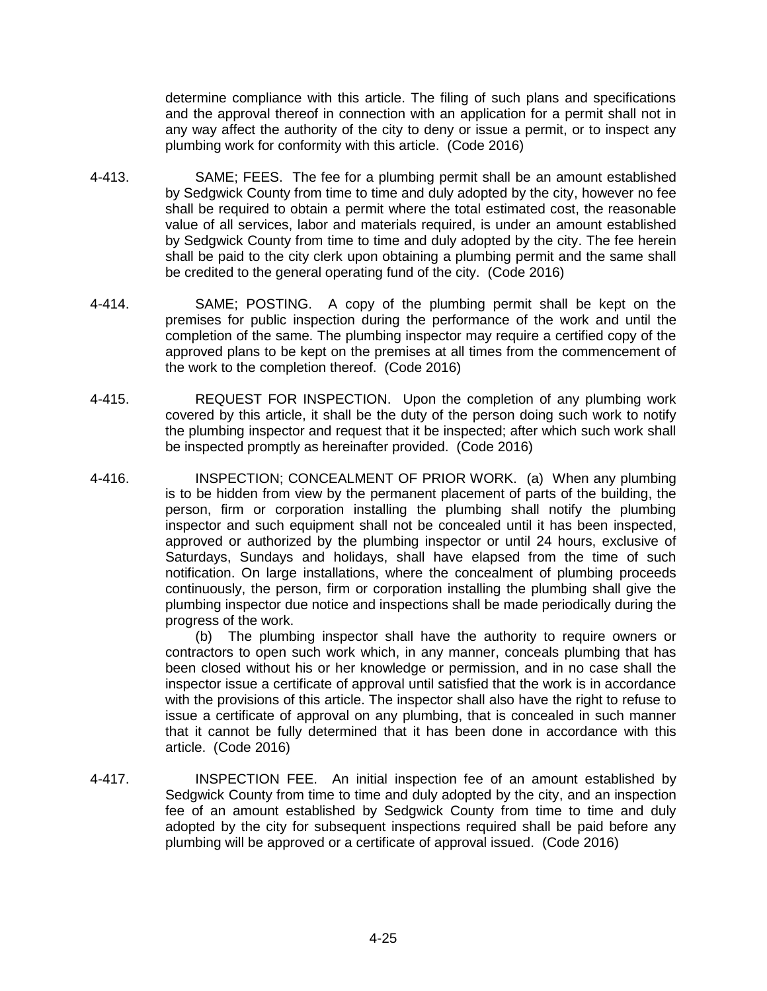determine compliance with this article. The filing of such plans and specifications and the approval thereof in connection with an application for a permit shall not in any way affect the authority of the city to deny or issue a permit, or to inspect any plumbing work for conformity with this article. (Code 2016)

- 4-413. SAME; FEES. The fee for a plumbing permit shall be an amount established by Sedgwick County from time to time and duly adopted by the city, however no fee shall be required to obtain a permit where the total estimated cost, the reasonable value of all services, labor and materials required, is under an amount established by Sedgwick County from time to time and duly adopted by the city. The fee herein shall be paid to the city clerk upon obtaining a plumbing permit and the same shall be credited to the general operating fund of the city. (Code 2016)
- 4-414. SAME; POSTING. A copy of the plumbing permit shall be kept on the premises for public inspection during the performance of the work and until the completion of the same. The plumbing inspector may require a certified copy of the approved plans to be kept on the premises at all times from the commencement of the work to the completion thereof. (Code 2016)
- 4-415. REQUEST FOR INSPECTION. Upon the completion of any plumbing work covered by this article, it shall be the duty of the person doing such work to notify the plumbing inspector and request that it be inspected; after which such work shall be inspected promptly as hereinafter provided. (Code 2016)
- 4-416. INSPECTION; CONCEALMENT OF PRIOR WORK. (a) When any plumbing is to be hidden from view by the permanent placement of parts of the building, the person, firm or corporation installing the plumbing shall notify the plumbing inspector and such equipment shall not be concealed until it has been inspected, approved or authorized by the plumbing inspector or until 24 hours, exclusive of Saturdays, Sundays and holidays, shall have elapsed from the time of such notification. On large installations, where the concealment of plumbing proceeds continuously, the person, firm or corporation installing the plumbing shall give the plumbing inspector due notice and inspections shall be made periodically during the progress of the work.

(b) The plumbing inspector shall have the authority to require owners or contractors to open such work which, in any manner, conceals plumbing that has been closed without his or her knowledge or permission, and in no case shall the inspector issue a certificate of approval until satisfied that the work is in accordance with the provisions of this article. The inspector shall also have the right to refuse to issue a certificate of approval on any plumbing, that is concealed in such manner that it cannot be fully determined that it has been done in accordance with this article. (Code 2016)

4-417. INSPECTION FEE. An initial inspection fee of an amount established by Sedgwick County from time to time and duly adopted by the city, and an inspection fee of an amount established by Sedgwick County from time to time and duly adopted by the city for subsequent inspections required shall be paid before any plumbing will be approved or a certificate of approval issued. (Code 2016)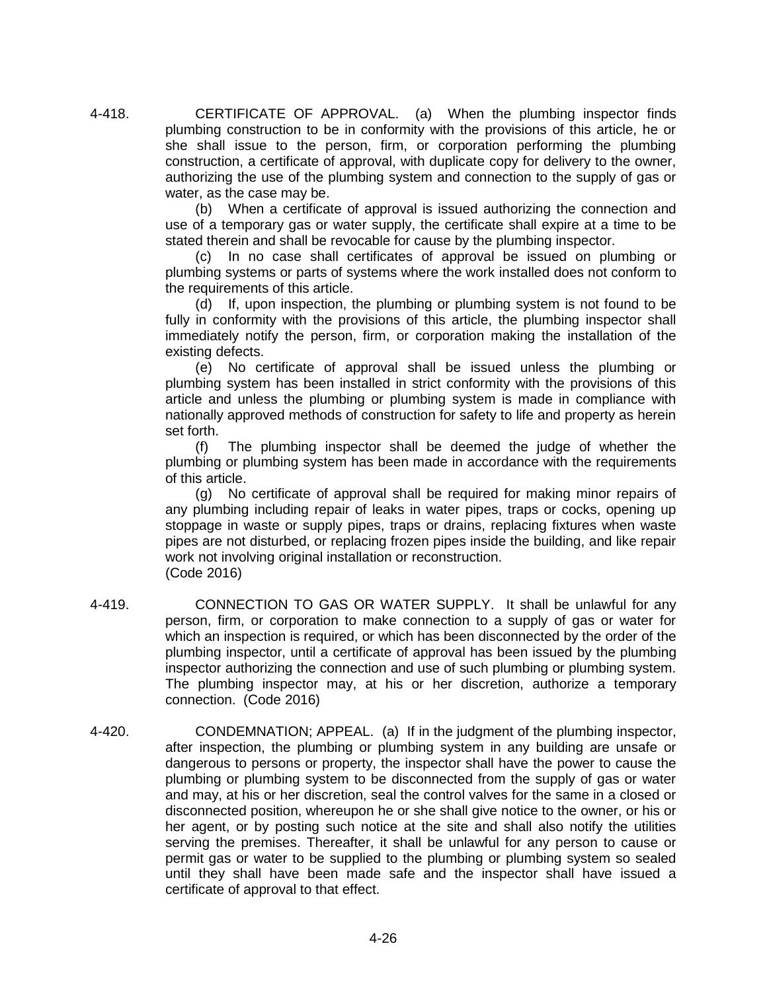4-418. CERTIFICATE OF APPROVAL. (a) When the plumbing inspector finds plumbing construction to be in conformity with the provisions of this article, he or she shall issue to the person, firm, or corporation performing the plumbing construction, a certificate of approval, with duplicate copy for delivery to the owner, authorizing the use of the plumbing system and connection to the supply of gas or water, as the case may be.

> (b) When a certificate of approval is issued authorizing the connection and use of a temporary gas or water supply, the certificate shall expire at a time to be stated therein and shall be revocable for cause by the plumbing inspector.

> (c) In no case shall certificates of approval be issued on plumbing or plumbing systems or parts of systems where the work installed does not conform to the requirements of this article.

> (d) If, upon inspection, the plumbing or plumbing system is not found to be fully in conformity with the provisions of this article, the plumbing inspector shall immediately notify the person, firm, or corporation making the installation of the existing defects.

> (e) No certificate of approval shall be issued unless the plumbing or plumbing system has been installed in strict conformity with the provisions of this article and unless the plumbing or plumbing system is made in compliance with nationally approved methods of construction for safety to life and property as herein set forth.

> (f) The plumbing inspector shall be deemed the judge of whether the plumbing or plumbing system has been made in accordance with the requirements of this article.

> (g) No certificate of approval shall be required for making minor repairs of any plumbing including repair of leaks in water pipes, traps or cocks, opening up stoppage in waste or supply pipes, traps or drains, replacing fixtures when waste pipes are not disturbed, or replacing frozen pipes inside the building, and like repair work not involving original installation or reconstruction. (Code 2016)

- 4-419. CONNECTION TO GAS OR WATER SUPPLY. It shall be unlawful for any person, firm, or corporation to make connection to a supply of gas or water for which an inspection is required, or which has been disconnected by the order of the plumbing inspector, until a certificate of approval has been issued by the plumbing inspector authorizing the connection and use of such plumbing or plumbing system. The plumbing inspector may, at his or her discretion, authorize a temporary connection. (Code 2016)
- 4-420. CONDEMNATION; APPEAL. (a) If in the judgment of the plumbing inspector, after inspection, the plumbing or plumbing system in any building are unsafe or dangerous to persons or property, the inspector shall have the power to cause the plumbing or plumbing system to be disconnected from the supply of gas or water and may, at his or her discretion, seal the control valves for the same in a closed or disconnected position, whereupon he or she shall give notice to the owner, or his or her agent, or by posting such notice at the site and shall also notify the utilities serving the premises. Thereafter, it shall be unlawful for any person to cause or permit gas or water to be supplied to the plumbing or plumbing system so sealed until they shall have been made safe and the inspector shall have issued a certificate of approval to that effect.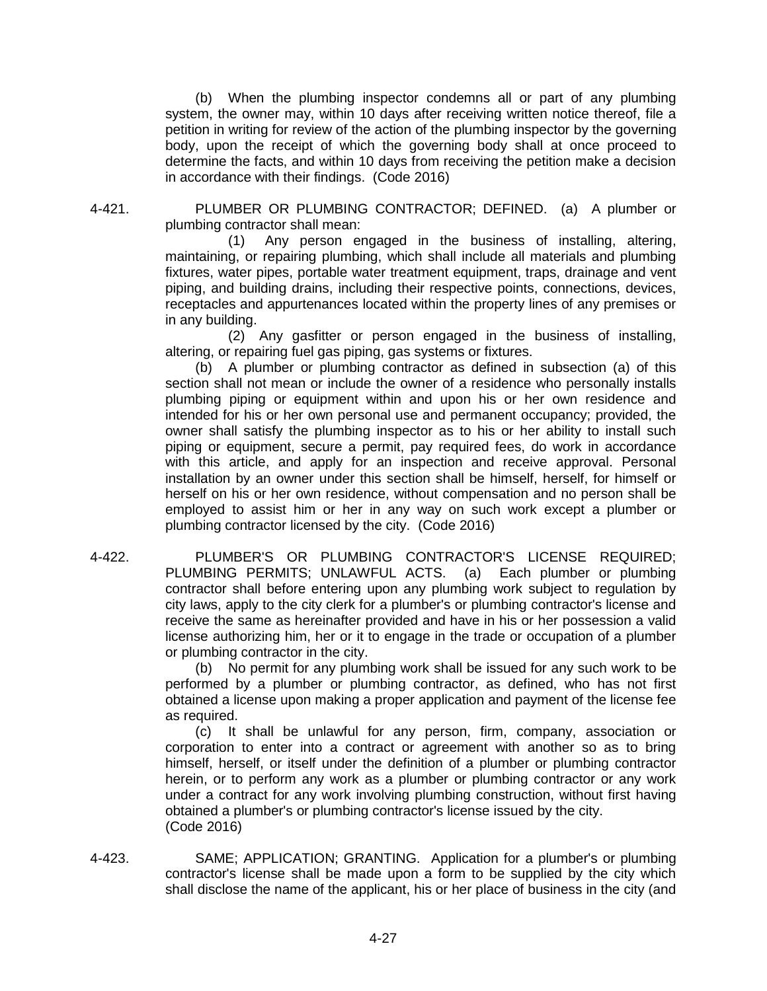(b) When the plumbing inspector condemns all or part of any plumbing system, the owner may, within 10 days after receiving written notice thereof, file a petition in writing for review of the action of the plumbing inspector by the governing body, upon the receipt of which the governing body shall at once proceed to determine the facts, and within 10 days from receiving the petition make a decision in accordance with their findings. (Code 2016)

4-421. PLUMBER OR PLUMBING CONTRACTOR; DEFINED. (a) A plumber or plumbing contractor shall mean:

> (1) Any person engaged in the business of installing, altering, maintaining, or repairing plumbing, which shall include all materials and plumbing fixtures, water pipes, portable water treatment equipment, traps, drainage and vent piping, and building drains, including their respective points, connections, devices, receptacles and appurtenances located within the property lines of any premises or in any building.

> (2) Any gasfitter or person engaged in the business of installing, altering, or repairing fuel gas piping, gas systems or fixtures.

> (b) A plumber or plumbing contractor as defined in subsection (a) of this section shall not mean or include the owner of a residence who personally installs plumbing piping or equipment within and upon his or her own residence and intended for his or her own personal use and permanent occupancy; provided, the owner shall satisfy the plumbing inspector as to his or her ability to install such piping or equipment, secure a permit, pay required fees, do work in accordance with this article, and apply for an inspection and receive approval. Personal installation by an owner under this section shall be himself, herself, for himself or herself on his or her own residence, without compensation and no person shall be employed to assist him or her in any way on such work except a plumber or plumbing contractor licensed by the city. (Code 2016)

4-422. PLUMBER'S OR PLUMBING CONTRACTOR'S LICENSE REQUIRED; PLUMBING PERMITS; UNLAWFUL ACTS. (a) Each plumber or plumbing contractor shall before entering upon any plumbing work subject to regulation by city laws, apply to the city clerk for a plumber's or plumbing contractor's license and receive the same as hereinafter provided and have in his or her possession a valid license authorizing him, her or it to engage in the trade or occupation of a plumber or plumbing contractor in the city.

> (b) No permit for any plumbing work shall be issued for any such work to be performed by a plumber or plumbing contractor, as defined, who has not first obtained a license upon making a proper application and payment of the license fee as required.

> (c) It shall be unlawful for any person, firm, company, association or corporation to enter into a contract or agreement with another so as to bring himself, herself, or itself under the definition of a plumber or plumbing contractor herein, or to perform any work as a plumber or plumbing contractor or any work under a contract for any work involving plumbing construction, without first having obtained a plumber's or plumbing contractor's license issued by the city. (Code 2016)

4-423. SAME; APPLICATION; GRANTING. Application for a plumber's or plumbing contractor's license shall be made upon a form to be supplied by the city which shall disclose the name of the applicant, his or her place of business in the city (and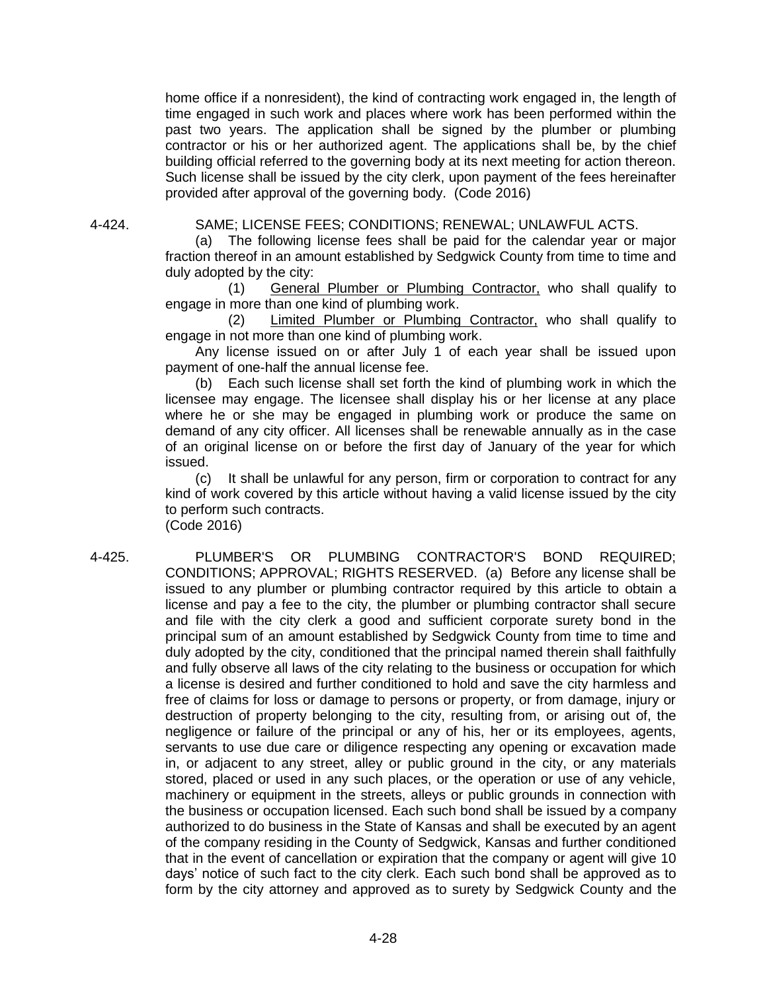home office if a nonresident), the kind of contracting work engaged in, the length of time engaged in such work and places where work has been performed within the past two years. The application shall be signed by the plumber or plumbing contractor or his or her authorized agent. The applications shall be, by the chief building official referred to the governing body at its next meeting for action thereon. Such license shall be issued by the city clerk, upon payment of the fees hereinafter provided after approval of the governing body. (Code 2016)

4-424. SAME; LICENSE FEES; CONDITIONS; RENEWAL; UNLAWFUL ACTS.

(a) The following license fees shall be paid for the calendar year or major fraction thereof in an amount established by Sedgwick County from time to time and duly adopted by the city:

(1) General Plumber or Plumbing Contractor, who shall qualify to engage in more than one kind of plumbing work.

(2) Limited Plumber or Plumbing Contractor, who shall qualify to engage in not more than one kind of plumbing work.

Any license issued on or after July 1 of each year shall be issued upon payment of one-half the annual license fee.

(b) Each such license shall set forth the kind of plumbing work in which the licensee may engage. The licensee shall display his or her license at any place where he or she may be engaged in plumbing work or produce the same on demand of any city officer. All licenses shall be renewable annually as in the case of an original license on or before the first day of January of the year for which issued.

(c) It shall be unlawful for any person, firm or corporation to contract for any kind of work covered by this article without having a valid license issued by the city to perform such contracts.

(Code 2016)

4-425. PLUMBER'S OR PLUMBING CONTRACTOR'S BOND REQUIRED; CONDITIONS; APPROVAL; RIGHTS RESERVED. (a) Before any license shall be issued to any plumber or plumbing contractor required by this article to obtain a license and pay a fee to the city, the plumber or plumbing contractor shall secure and file with the city clerk a good and sufficient corporate surety bond in the principal sum of an amount established by Sedgwick County from time to time and duly adopted by the city, conditioned that the principal named therein shall faithfully and fully observe all laws of the city relating to the business or occupation for which a license is desired and further conditioned to hold and save the city harmless and free of claims for loss or damage to persons or property, or from damage, injury or destruction of property belonging to the city, resulting from, or arising out of, the negligence or failure of the principal or any of his, her or its employees, agents, servants to use due care or diligence respecting any opening or excavation made in, or adjacent to any street, alley or public ground in the city, or any materials stored, placed or used in any such places, or the operation or use of any vehicle, machinery or equipment in the streets, alleys or public grounds in connection with the business or occupation licensed. Each such bond shall be issued by a company authorized to do business in the State of Kansas and shall be executed by an agent of the company residing in the County of Sedgwick, Kansas and further conditioned that in the event of cancellation or expiration that the company or agent will give 10 days' notice of such fact to the city clerk. Each such bond shall be approved as to form by the city attorney and approved as to surety by Sedgwick County and the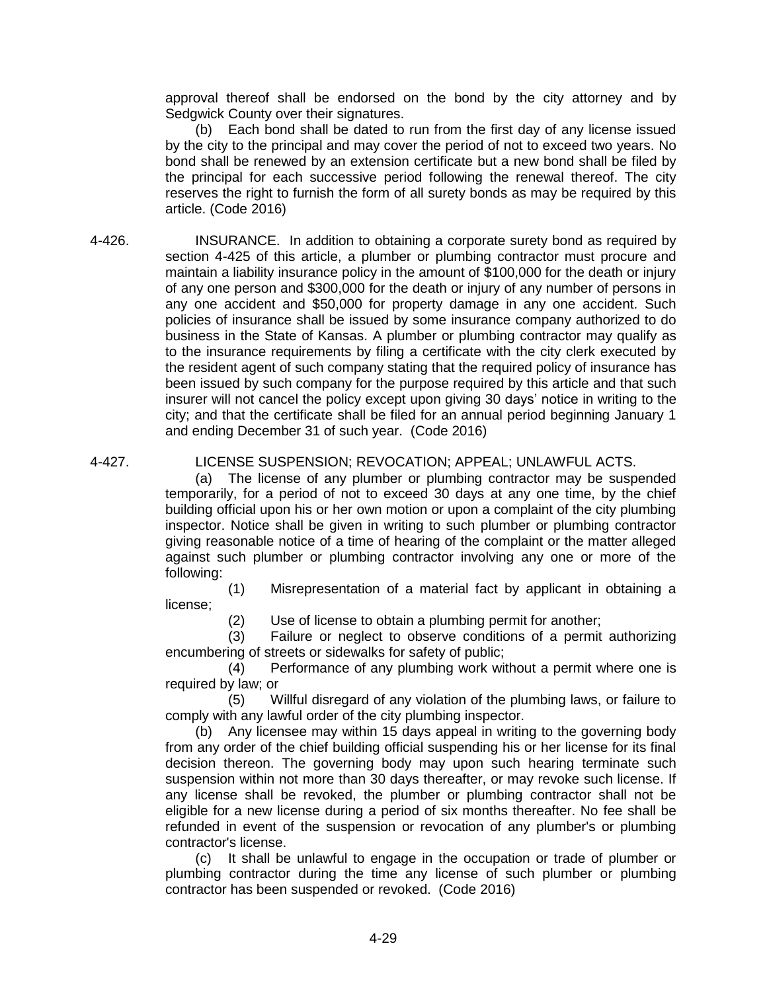approval thereof shall be endorsed on the bond by the city attorney and by Sedgwick County over their signatures.

(b) Each bond shall be dated to run from the first day of any license issued by the city to the principal and may cover the period of not to exceed two years. No bond shall be renewed by an extension certificate but a new bond shall be filed by the principal for each successive period following the renewal thereof. The city reserves the right to furnish the form of all surety bonds as may be required by this article. (Code 2016)

4-426. INSURANCE. In addition to obtaining a corporate surety bond as required by section 4-425 of this article, a plumber or plumbing contractor must procure and maintain a liability insurance policy in the amount of \$100,000 for the death or injury of any one person and \$300,000 for the death or injury of any number of persons in any one accident and \$50,000 for property damage in any one accident. Such policies of insurance shall be issued by some insurance company authorized to do business in the State of Kansas. A plumber or plumbing contractor may qualify as to the insurance requirements by filing a certificate with the city clerk executed by the resident agent of such company stating that the required policy of insurance has been issued by such company for the purpose required by this article and that such insurer will not cancel the policy except upon giving 30 days' notice in writing to the city; and that the certificate shall be filed for an annual period beginning January 1 and ending December 31 of such year. (Code 2016)

#### 4-427. LICENSE SUSPENSION; REVOCATION; APPEAL; UNLAWFUL ACTS.

(a) The license of any plumber or plumbing contractor may be suspended temporarily, for a period of not to exceed 30 days at any one time, by the chief building official upon his or her own motion or upon a complaint of the city plumbing inspector. Notice shall be given in writing to such plumber or plumbing contractor giving reasonable notice of a time of hearing of the complaint or the matter alleged against such plumber or plumbing contractor involving any one or more of the following:

(1) Misrepresentation of a material fact by applicant in obtaining a license;

(2) Use of license to obtain a plumbing permit for another;

(3) Failure or neglect to observe conditions of a permit authorizing encumbering of streets or sidewalks for safety of public;

(4) Performance of any plumbing work without a permit where one is required by law; or

(5) Willful disregard of any violation of the plumbing laws, or failure to comply with any lawful order of the city plumbing inspector.

(b) Any licensee may within 15 days appeal in writing to the governing body from any order of the chief building official suspending his or her license for its final decision thereon. The governing body may upon such hearing terminate such suspension within not more than 30 days thereafter, or may revoke such license. If any license shall be revoked, the plumber or plumbing contractor shall not be eligible for a new license during a period of six months thereafter. No fee shall be refunded in event of the suspension or revocation of any plumber's or plumbing contractor's license.

(c) It shall be unlawful to engage in the occupation or trade of plumber or plumbing contractor during the time any license of such plumber or plumbing contractor has been suspended or revoked. (Code 2016)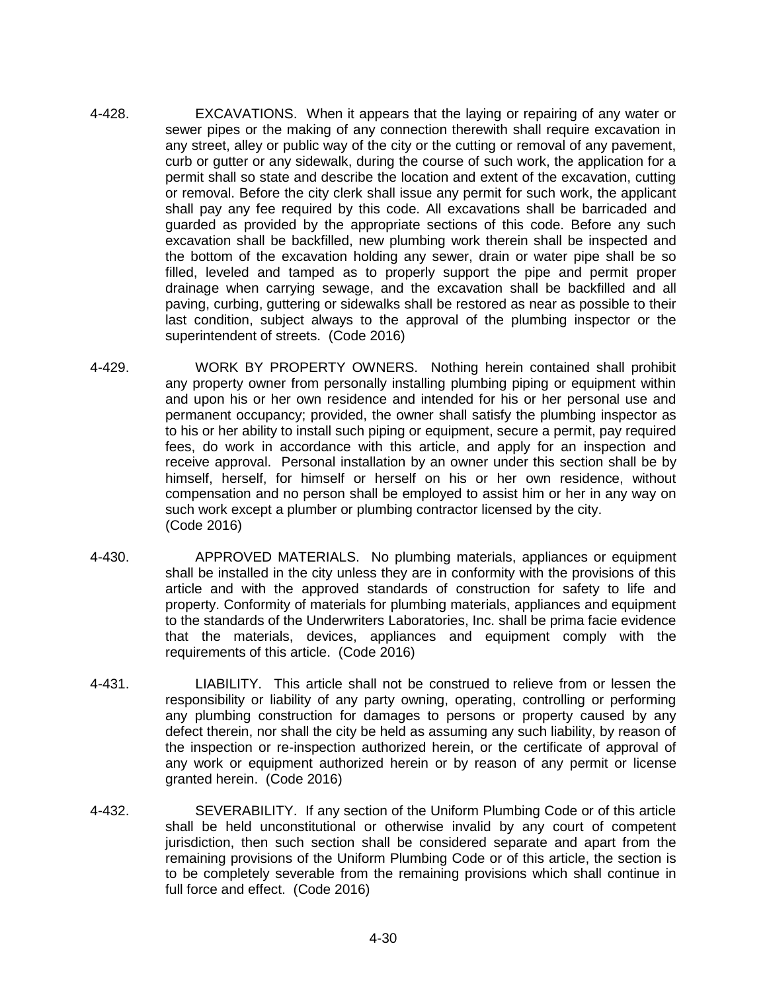- 4-428. EXCAVATIONS. When it appears that the laying or repairing of any water or sewer pipes or the making of any connection therewith shall require excavation in any street, alley or public way of the city or the cutting or removal of any pavement, curb or gutter or any sidewalk, during the course of such work, the application for a permit shall so state and describe the location and extent of the excavation, cutting or removal. Before the city clerk shall issue any permit for such work, the applicant shall pay any fee required by this code. All excavations shall be barricaded and guarded as provided by the appropriate sections of this code. Before any such excavation shall be backfilled, new plumbing work therein shall be inspected and the bottom of the excavation holding any sewer, drain or water pipe shall be so filled, leveled and tamped as to properly support the pipe and permit proper drainage when carrying sewage, and the excavation shall be backfilled and all paving, curbing, guttering or sidewalks shall be restored as near as possible to their last condition, subject always to the approval of the plumbing inspector or the superintendent of streets. (Code 2016)
- 4-429. WORK BY PROPERTY OWNERS. Nothing herein contained shall prohibit any property owner from personally installing plumbing piping or equipment within and upon his or her own residence and intended for his or her personal use and permanent occupancy; provided, the owner shall satisfy the plumbing inspector as to his or her ability to install such piping or equipment, secure a permit, pay required fees, do work in accordance with this article, and apply for an inspection and receive approval. Personal installation by an owner under this section shall be by himself, herself, for himself or herself on his or her own residence, without compensation and no person shall be employed to assist him or her in any way on such work except a plumber or plumbing contractor licensed by the city. (Code 2016)
- 4-430. APPROVED MATERIALS. No plumbing materials, appliances or equipment shall be installed in the city unless they are in conformity with the provisions of this article and with the approved standards of construction for safety to life and property. Conformity of materials for plumbing materials, appliances and equipment to the standards of the Underwriters Laboratories, Inc. shall be prima facie evidence that the materials, devices, appliances and equipment comply with the requirements of this article. (Code 2016)
- 4-431. LIABILITY. This article shall not be construed to relieve from or lessen the responsibility or liability of any party owning, operating, controlling or performing any plumbing construction for damages to persons or property caused by any defect therein, nor shall the city be held as assuming any such liability, by reason of the inspection or re-inspection authorized herein, or the certificate of approval of any work or equipment authorized herein or by reason of any permit or license granted herein. (Code 2016)
- 4-432. SEVERABILITY. If any section of the Uniform Plumbing Code or of this article shall be held unconstitutional or otherwise invalid by any court of competent jurisdiction, then such section shall be considered separate and apart from the remaining provisions of the Uniform Plumbing Code or of this article, the section is to be completely severable from the remaining provisions which shall continue in full force and effect. (Code 2016)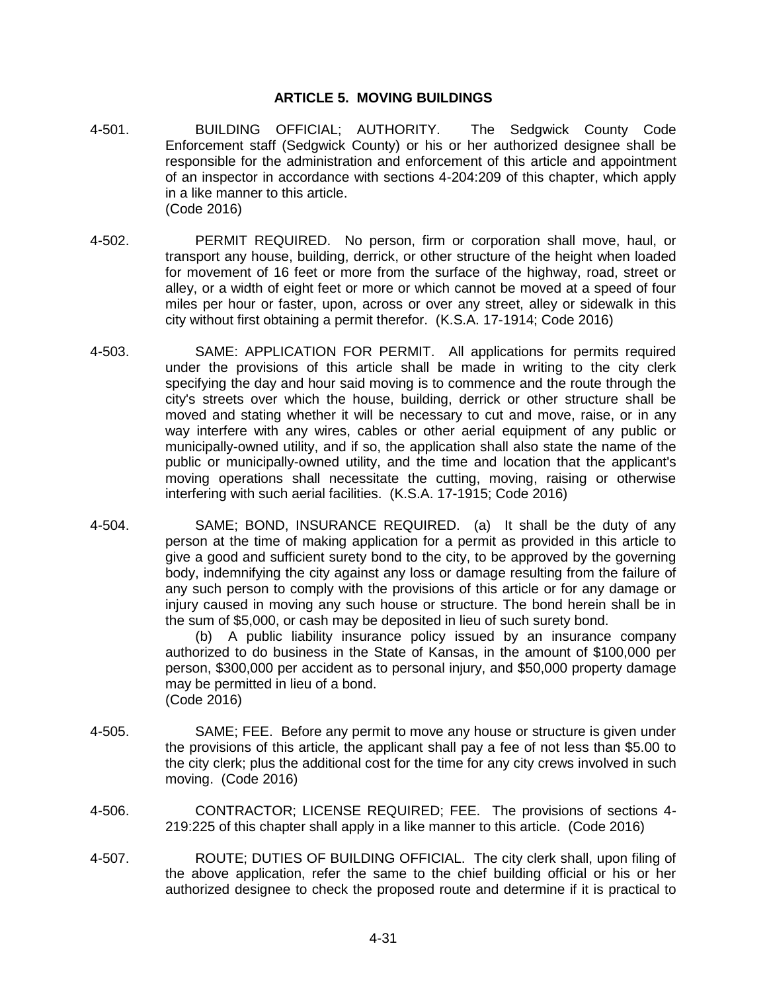## **ARTICLE 5. MOVING BUILDINGS**

- 4-501. BUILDING OFFICIAL; AUTHORITY. The Sedgwick County Code Enforcement staff (Sedgwick County) or his or her authorized designee shall be responsible for the administration and enforcement of this article and appointment of an inspector in accordance with sections 4-204:209 of this chapter, which apply in a like manner to this article. (Code 2016)
- 4-502. PERMIT REQUIRED. No person, firm or corporation shall move, haul, or transport any house, building, derrick, or other structure of the height when loaded for movement of 16 feet or more from the surface of the highway, road, street or alley, or a width of eight feet or more or which cannot be moved at a speed of four miles per hour or faster, upon, across or over any street, alley or sidewalk in this city without first obtaining a permit therefor. (K.S.A. 17-1914; Code 2016)
- 4-503. SAME: APPLICATION FOR PERMIT. All applications for permits required under the provisions of this article shall be made in writing to the city clerk specifying the day and hour said moving is to commence and the route through the city's streets over which the house, building, derrick or other structure shall be moved and stating whether it will be necessary to cut and move, raise, or in any way interfere with any wires, cables or other aerial equipment of any public or municipally-owned utility, and if so, the application shall also state the name of the public or municipally-owned utility, and the time and location that the applicant's moving operations shall necessitate the cutting, moving, raising or otherwise interfering with such aerial facilities. (K.S.A. 17-1915; Code 2016)
- 4-504. SAME; BOND, INSURANCE REQUIRED. (a) It shall be the duty of any person at the time of making application for a permit as provided in this article to give a good and sufficient surety bond to the city, to be approved by the governing body, indemnifying the city against any loss or damage resulting from the failure of any such person to comply with the provisions of this article or for any damage or injury caused in moving any such house or structure. The bond herein shall be in the sum of \$5,000, or cash may be deposited in lieu of such surety bond.

(b) A public liability insurance policy issued by an insurance company authorized to do business in the State of Kansas, in the amount of \$100,000 per person, \$300,000 per accident as to personal injury, and \$50,000 property damage may be permitted in lieu of a bond. (Code 2016)

- 4-505. SAME; FEE. Before any permit to move any house or structure is given under the provisions of this article, the applicant shall pay a fee of not less than \$5.00 to the city clerk; plus the additional cost for the time for any city crews involved in such moving. (Code 2016)
- 4-506. CONTRACTOR; LICENSE REQUIRED; FEE. The provisions of sections 4- 219:225 of this chapter shall apply in a like manner to this article. (Code 2016)
- 4-507. ROUTE; DUTIES OF BUILDING OFFICIAL. The city clerk shall, upon filing of the above application, refer the same to the chief building official or his or her authorized designee to check the proposed route and determine if it is practical to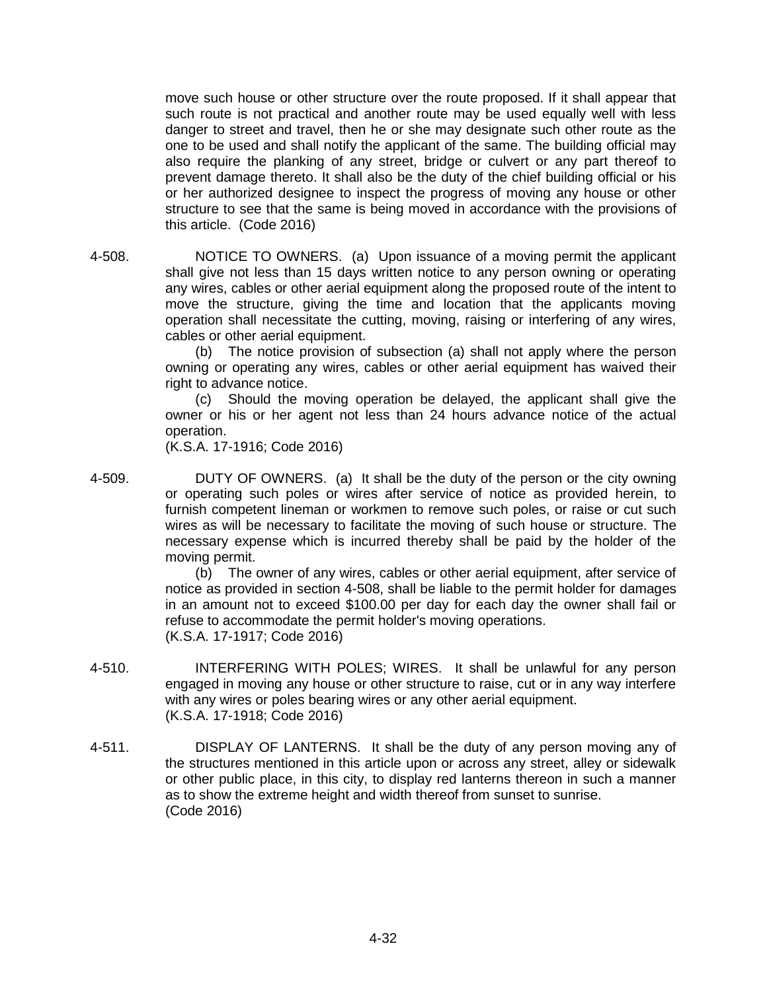move such house or other structure over the route proposed. If it shall appear that such route is not practical and another route may be used equally well with less danger to street and travel, then he or she may designate such other route as the one to be used and shall notify the applicant of the same. The building official may also require the planking of any street, bridge or culvert or any part thereof to prevent damage thereto. It shall also be the duty of the chief building official or his or her authorized designee to inspect the progress of moving any house or other structure to see that the same is being moved in accordance with the provisions of this article. (Code 2016)

4-508. NOTICE TO OWNERS. (a) Upon issuance of a moving permit the applicant shall give not less than 15 days written notice to any person owning or operating any wires, cables or other aerial equipment along the proposed route of the intent to move the structure, giving the time and location that the applicants moving operation shall necessitate the cutting, moving, raising or interfering of any wires, cables or other aerial equipment.

(b) The notice provision of subsection (a) shall not apply where the person owning or operating any wires, cables or other aerial equipment has waived their right to advance notice.

(c) Should the moving operation be delayed, the applicant shall give the owner or his or her agent not less than 24 hours advance notice of the actual operation.

(K.S.A. 17-1916; Code 2016)

4-509. DUTY OF OWNERS. (a) It shall be the duty of the person or the city owning or operating such poles or wires after service of notice as provided herein, to furnish competent lineman or workmen to remove such poles, or raise or cut such wires as will be necessary to facilitate the moving of such house or structure. The necessary expense which is incurred thereby shall be paid by the holder of the moving permit.

> (b) The owner of any wires, cables or other aerial equipment, after service of notice as provided in section 4-508, shall be liable to the permit holder for damages in an amount not to exceed \$100.00 per day for each day the owner shall fail or refuse to accommodate the permit holder's moving operations. (K.S.A. 17-1917; Code 2016)

- 4-510. INTERFERING WITH POLES; WIRES. It shall be unlawful for any person engaged in moving any house or other structure to raise, cut or in any way interfere with any wires or poles bearing wires or any other aerial equipment. (K.S.A. 17-1918; Code 2016)
- 4-511. DISPLAY OF LANTERNS. It shall be the duty of any person moving any of the structures mentioned in this article upon or across any street, alley or sidewalk or other public place, in this city, to display red lanterns thereon in such a manner as to show the extreme height and width thereof from sunset to sunrise. (Code 2016)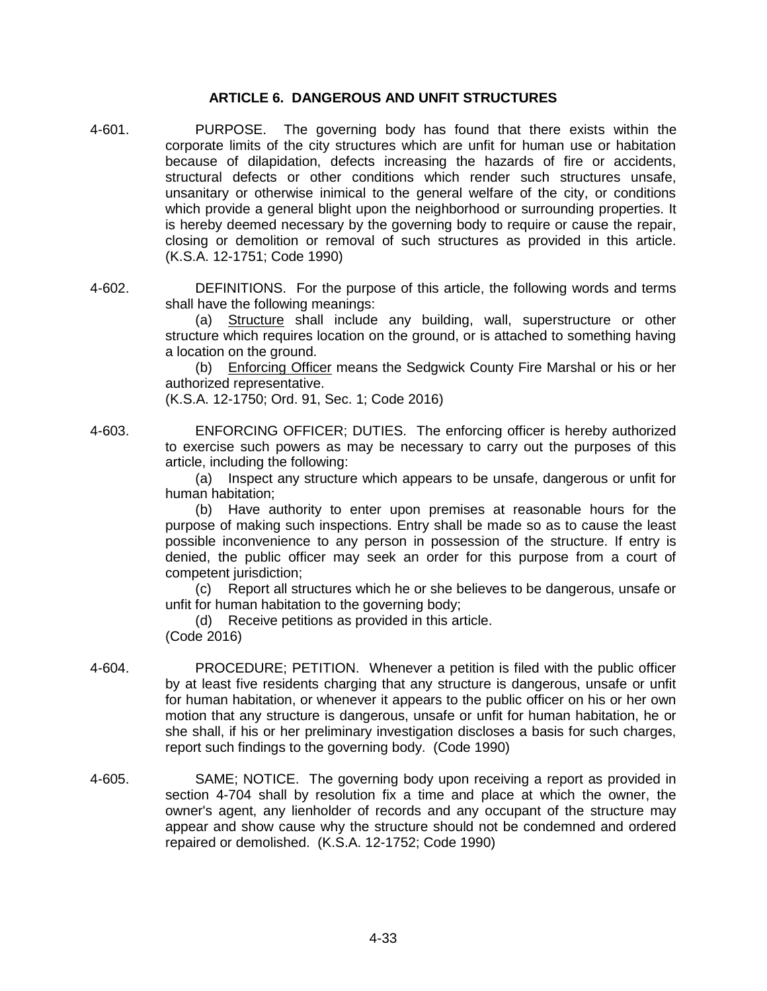### **ARTICLE 6. DANGEROUS AND UNFIT STRUCTURES**

- 4-601. PURPOSE. The governing body has found that there exists within the corporate limits of the city structures which are unfit for human use or habitation because of dilapidation, defects increasing the hazards of fire or accidents, structural defects or other conditions which render such structures unsafe, unsanitary or otherwise inimical to the general welfare of the city, or conditions which provide a general blight upon the neighborhood or surrounding properties. It is hereby deemed necessary by the governing body to require or cause the repair, closing or demolition or removal of such structures as provided in this article. (K.S.A. 12-1751; Code 1990)
- 4-602. DEFINITIONS. For the purpose of this article, the following words and terms shall have the following meanings:

(a) Structure shall include any building, wall, superstructure or other structure which requires location on the ground, or is attached to something having a location on the ground.

(b) Enforcing Officer means the Sedgwick County Fire Marshal or his or her authorized representative.

(K.S.A. 12-1750; Ord. 91, Sec. 1; Code 2016)

4-603. ENFORCING OFFICER; DUTIES. The enforcing officer is hereby authorized to exercise such powers as may be necessary to carry out the purposes of this article, including the following:

> (a) Inspect any structure which appears to be unsafe, dangerous or unfit for human habitation;

> (b) Have authority to enter upon premises at reasonable hours for the purpose of making such inspections. Entry shall be made so as to cause the least possible inconvenience to any person in possession of the structure. If entry is denied, the public officer may seek an order for this purpose from a court of competent jurisdiction:

> (c) Report all structures which he or she believes to be dangerous, unsafe or unfit for human habitation to the governing body;

(d) Receive petitions as provided in this article.

(Code 2016)

- 4-604. PROCEDURE; PETITION. Whenever a petition is filed with the public officer by at least five residents charging that any structure is dangerous, unsafe or unfit for human habitation, or whenever it appears to the public officer on his or her own motion that any structure is dangerous, unsafe or unfit for human habitation, he or she shall, if his or her preliminary investigation discloses a basis for such charges, report such findings to the governing body. (Code 1990)
- 4-605. SAME; NOTICE. The governing body upon receiving a report as provided in section 4-704 shall by resolution fix a time and place at which the owner, the owner's agent, any lienholder of records and any occupant of the structure may appear and show cause why the structure should not be condemned and ordered repaired or demolished. (K.S.A. 12-1752; Code 1990)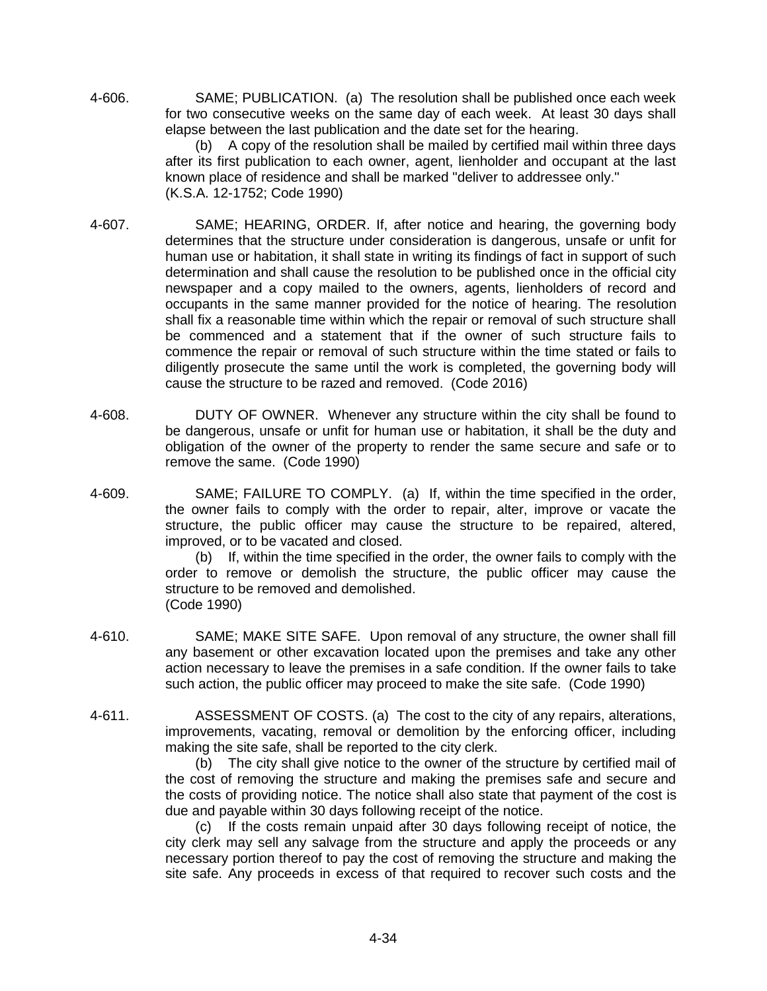4-606. SAME; PUBLICATION. (a) The resolution shall be published once each week for two consecutive weeks on the same day of each week. At least 30 days shall elapse between the last publication and the date set for the hearing.

(b) A copy of the resolution shall be mailed by certified mail within three days after its first publication to each owner, agent, lienholder and occupant at the last known place of residence and shall be marked "deliver to addressee only." (K.S.A. 12-1752; Code 1990)

- 4-607. SAME; HEARING, ORDER. If, after notice and hearing, the governing body determines that the structure under consideration is dangerous, unsafe or unfit for human use or habitation, it shall state in writing its findings of fact in support of such determination and shall cause the resolution to be published once in the official city newspaper and a copy mailed to the owners, agents, lienholders of record and occupants in the same manner provided for the notice of hearing. The resolution shall fix a reasonable time within which the repair or removal of such structure shall be commenced and a statement that if the owner of such structure fails to commence the repair or removal of such structure within the time stated or fails to diligently prosecute the same until the work is completed, the governing body will cause the structure to be razed and removed. (Code 2016)
- 4-608. DUTY OF OWNER. Whenever any structure within the city shall be found to be dangerous, unsafe or unfit for human use or habitation, it shall be the duty and obligation of the owner of the property to render the same secure and safe or to remove the same. (Code 1990)
- 4-609. SAME; FAILURE TO COMPLY. (a) If, within the time specified in the order, the owner fails to comply with the order to repair, alter, improve or vacate the structure, the public officer may cause the structure to be repaired, altered, improved, or to be vacated and closed.

(b) If, within the time specified in the order, the owner fails to comply with the order to remove or demolish the structure, the public officer may cause the structure to be removed and demolished. (Code 1990)

- 4-610. SAME; MAKE SITE SAFE. Upon removal of any structure, the owner shall fill any basement or other excavation located upon the premises and take any other action necessary to leave the premises in a safe condition. If the owner fails to take such action, the public officer may proceed to make the site safe. (Code 1990)
- 4-611. ASSESSMENT OF COSTS. (a) The cost to the city of any repairs, alterations, improvements, vacating, removal or demolition by the enforcing officer, including making the site safe, shall be reported to the city clerk.

(b) The city shall give notice to the owner of the structure by certified mail of the cost of removing the structure and making the premises safe and secure and the costs of providing notice. The notice shall also state that payment of the cost is due and payable within 30 days following receipt of the notice.

(c) If the costs remain unpaid after 30 days following receipt of notice, the city clerk may sell any salvage from the structure and apply the proceeds or any necessary portion thereof to pay the cost of removing the structure and making the site safe. Any proceeds in excess of that required to recover such costs and the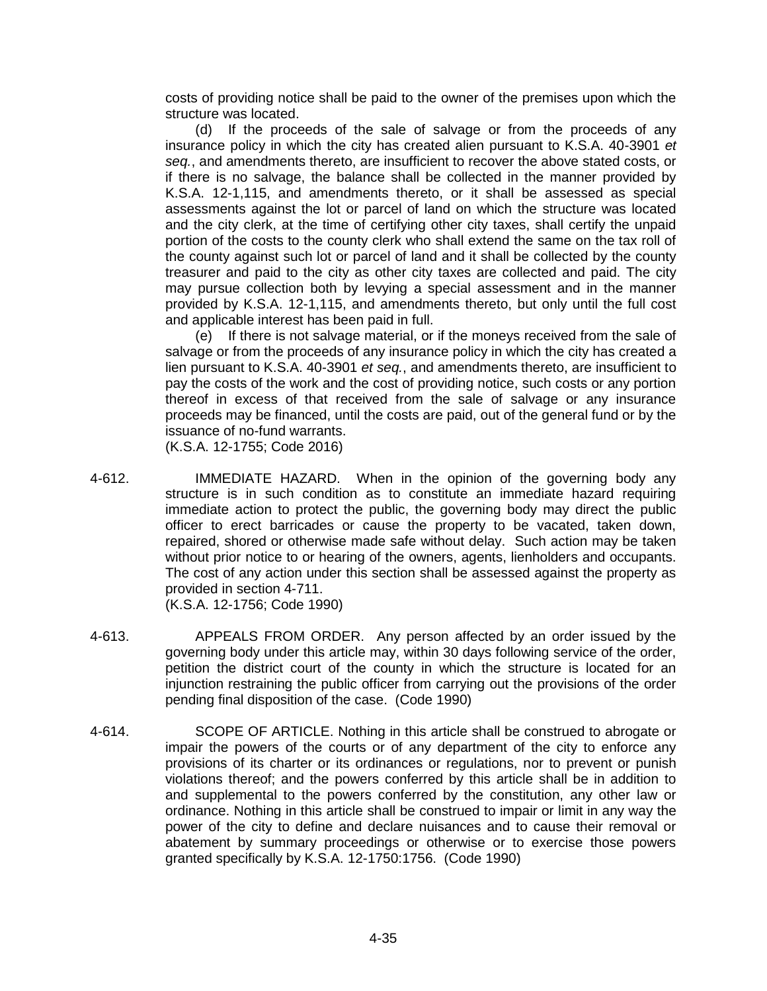costs of providing notice shall be paid to the owner of the premises upon which the structure was located.

(d) If the proceeds of the sale of salvage or from the proceeds of any insurance policy in which the city has created alien pursuant to K.S.A. 40-3901 *et seq.*, and amendments thereto, are insufficient to recover the above stated costs, or if there is no salvage, the balance shall be collected in the manner provided by K.S.A. 12-1,115, and amendments thereto, or it shall be assessed as special assessments against the lot or parcel of land on which the structure was located and the city clerk, at the time of certifying other city taxes, shall certify the unpaid portion of the costs to the county clerk who shall extend the same on the tax roll of the county against such lot or parcel of land and it shall be collected by the county treasurer and paid to the city as other city taxes are collected and paid. The city may pursue collection both by levying a special assessment and in the manner provided by K.S.A. 12-1,115, and amendments thereto, but only until the full cost and applicable interest has been paid in full.

(e) If there is not salvage material, or if the moneys received from the sale of salvage or from the proceeds of any insurance policy in which the city has created a lien pursuant to K.S.A. 40-3901 *et seq.*, and amendments thereto, are insufficient to pay the costs of the work and the cost of providing notice, such costs or any portion thereof in excess of that received from the sale of salvage or any insurance proceeds may be financed, until the costs are paid, out of the general fund or by the issuance of no-fund warrants.

(K.S.A. 12-1755; Code 2016)

4-612. IMMEDIATE HAZARD. When in the opinion of the governing body any structure is in such condition as to constitute an immediate hazard requiring immediate action to protect the public, the governing body may direct the public officer to erect barricades or cause the property to be vacated, taken down, repaired, shored or otherwise made safe without delay. Such action may be taken without prior notice to or hearing of the owners, agents, lienholders and occupants. The cost of any action under this section shall be assessed against the property as provided in section 4-711.

(K.S.A. 12-1756; Code 1990)

- 4-613. APPEALS FROM ORDER. Any person affected by an order issued by the governing body under this article may, within 30 days following service of the order, petition the district court of the county in which the structure is located for an injunction restraining the public officer from carrying out the provisions of the order pending final disposition of the case. (Code 1990)
- 4-614. SCOPE OF ARTICLE. Nothing in this article shall be construed to abrogate or impair the powers of the courts or of any department of the city to enforce any provisions of its charter or its ordinances or regulations, nor to prevent or punish violations thereof; and the powers conferred by this article shall be in addition to and supplemental to the powers conferred by the constitution, any other law or ordinance. Nothing in this article shall be construed to impair or limit in any way the power of the city to define and declare nuisances and to cause their removal or abatement by summary proceedings or otherwise or to exercise those powers granted specifically by K.S.A. 12-1750:1756. (Code 1990)